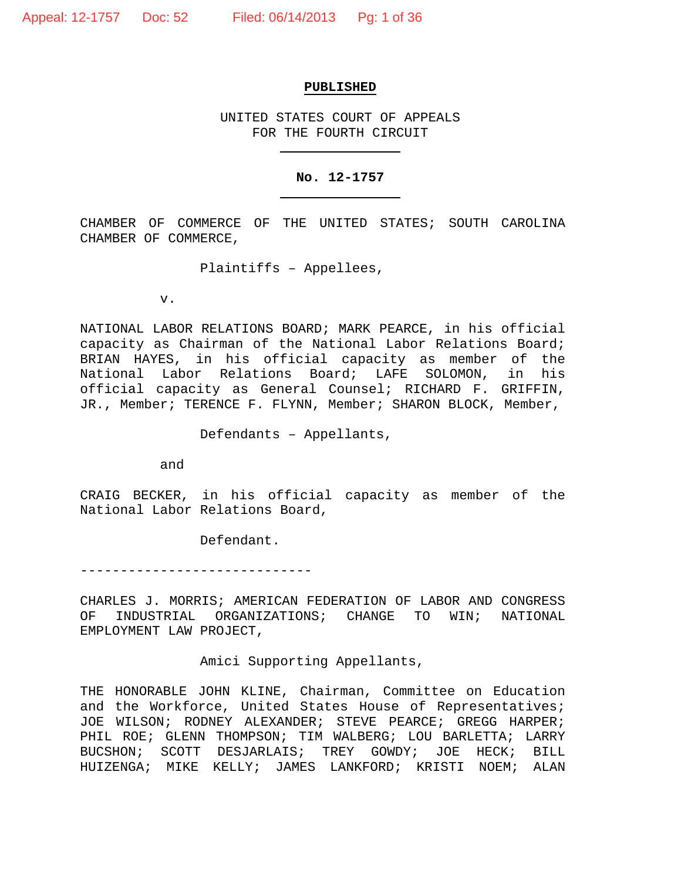#### **PUBLISHED**

UNITED STATES COURT OF APPEALS FOR THE FOURTH CIRCUIT

#### **No. 12-1757**

CHAMBER OF COMMERCE OF THE UNITED STATES; SOUTH CAROLINA CHAMBER OF COMMERCE,

Plaintiffs – Appellees,

v.

NATIONAL LABOR RELATIONS BOARD; MARK PEARCE, in his official capacity as Chairman of the National Labor Relations Board; BRIAN HAYES, in his official capacity as member of the National Labor Relations Board; LAFE SOLOMON, in his official capacity as General Counsel; RICHARD F. GRIFFIN, JR., Member; TERENCE F. FLYNN, Member; SHARON BLOCK, Member,

Defendants – Appellants,

and

CRAIG BECKER, in his official capacity as member of the National Labor Relations Board,

Defendant.

-----------------------------

CHARLES J. MORRIS; AMERICAN FEDERATION OF LABOR AND CONGRESS<br>OF INDUSTRIAL ORGANIZATIONS; CHANGE TO WIN; NATIONAL INDUSTRIAL ORGANIZATIONS; CHANGE TO WIN; NATIONAL EMPLOYMENT LAW PROJECT,

Amici Supporting Appellants,

THE HONORABLE JOHN KLINE, Chairman, Committee on Education and the Workforce, United States House of Representatives; JOE WILSON; RODNEY ALEXANDER; STEVE PEARCE; GREGG HARPER; PHIL ROE; GLENN THOMPSON; TIM WALBERG; LOU BARLETTA; LARRY BUCSHON; SCOTT DESJARLAIS; TREY GOWDY; JOE HECK; BILL HUIZENGA; MIKE KELLY; JAMES LANKFORD; KRISTI NOEM; ALAN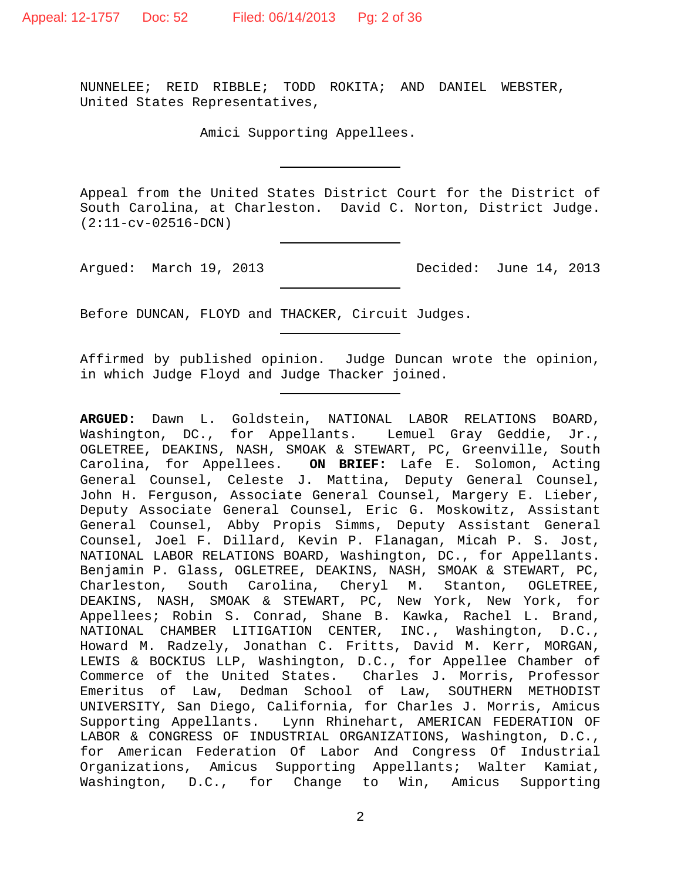NUNNELEE; REID RIBBLE; TODD ROKITA; AND DANIEL WEBSTER, United States Representatives,

Amici Supporting Appellees.

Appeal from the United States District Court for the District of South Carolina, at Charleston. David C. Norton, District Judge. (2:11-cv-02516-DCN)

Argued: March 19, 2013 Decided: June 14, 2013

Before DUNCAN, FLOYD and THACKER, Circuit Judges.

Affirmed by published opinion. Judge Duncan wrote the opinion, in which Judge Floyd and Judge Thacker joined.

**ARGUED:** Dawn L. Goldstein, NATIONAL LABOR RELATIONS BOARD, Washington, DC., for Appellants. Lemuel Gray Geddie, Jr., OGLETREE, DEAKINS, NASH, SMOAK & STEWART, PC, Greenville, South Carolina, for Appellees. **ON BRIEF:** Lafe E. Solomon, Acting General Counsel, Celeste J. Mattina, Deputy General Counsel, John H. Ferguson, Associate General Counsel, Margery E. Lieber, Deputy Associate General Counsel, Eric G. Moskowitz, Assistant General Counsel, Abby Propis Simms, Deputy Assistant General Counsel, Joel F. Dillard, Kevin P. Flanagan, Micah P. S. Jost, NATIONAL LABOR RELATIONS BOARD, Washington, DC., for Appellants. Benjamin P. Glass, OGLETREE, DEAKINS, NASH, SMOAK & STEWART, PC,<br>Charleston, South Carolina, Cheryl M. Stanton, OGLETREE, South Carolina, Cheryl M. Stanton, OGLETREE, DEAKINS, NASH, SMOAK & STEWART, PC, New York, New York, for Appellees; Robin S. Conrad, Shane B. Kawka, Rachel L. Brand, NATIONAL CHAMBER LITIGATION CENTER, INC., Washington, D.C., Howard M. Radzely, Jonathan C. Fritts, David M. Kerr, MORGAN, LEWIS & BOCKIUS LLP, Washington, D.C., for Appellee Chamber of Commerce of the United States. Charles J. Morris, Professor Emeritus of Law, Dedman School of Law, SOUTHERN METHODIST UNIVERSITY, San Diego, California, for Charles J. Morris, Amicus Lynn Rhinehart, AMERICAN FEDERATION OF LABOR & CONGRESS OF INDUSTRIAL ORGANIZATIONS, Washington, D.C., for American Federation Of Labor And Congress Of Industrial Organizations, Amicus Supporting Appellants; Walter Kamiat, Washington, D.C., for Change to Win, Amicus Supporting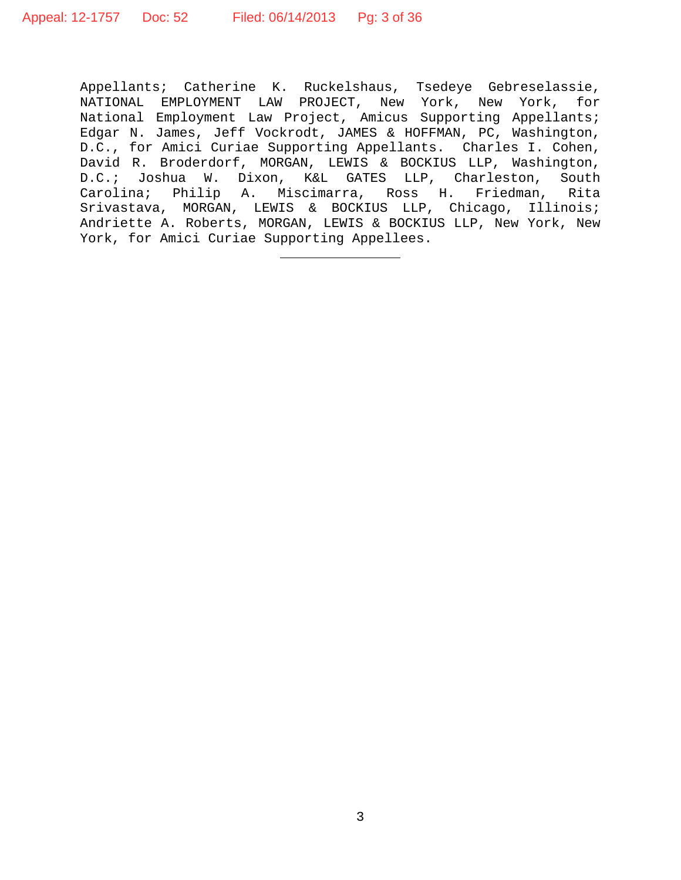Appellants; Catherine K. Ruckelshaus, Tsedeye Gebreselassie, NATIONAL EMPLOYMENT LAW PROJECT, New York, New York, for National Employment Law Project, Amicus Supporting Appellants; Edgar N. James, Jeff Vockrodt, JAMES & HOFFMAN, PC, Washington, D.C., for Amici Curiae Supporting Appellants. Charles I. Cohen, David R. Broderdorf, MORGAN, LEWIS & BOCKIUS LLP, Washington,<br>D.C.; Joshua W. Dixon, K&L GATES LLP, Charleston, South Joshua W. Dixon, K&L GATES LLP, Charleston, Carolina; Philip A. Miscimarra, Ross H. Friedman, Rita Srivastava, MORGAN, LEWIS & BOCKIUS LLP, Chicago, Illinois; Andriette A. Roberts, MORGAN, LEWIS & BOCKIUS LLP, New York, New York, for Amici Curiae Supporting Appellees.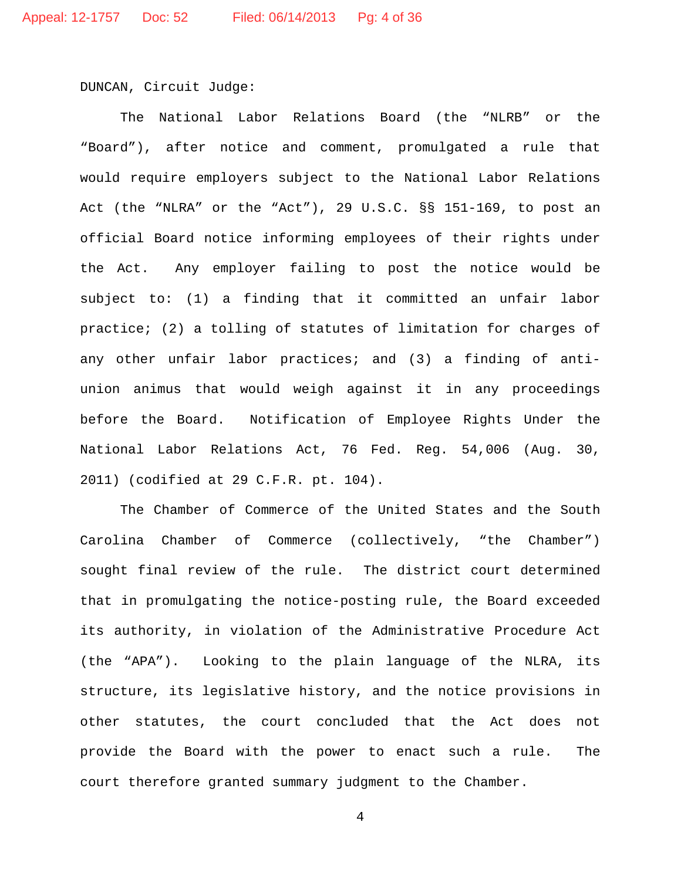DUNCAN, Circuit Judge:

The National Labor Relations Board (the "NLRB" or the "Board"), after notice and comment, promulgated a rule that would require employers subject to the National Labor Relations Act (the "NLRA" or the "Act"), 29 U.S.C. §§ 151-169, to post an official Board notice informing employees of their rights under the Act. Any employer failing to post the notice would be subject to: (1) a finding that it committed an unfair labor practice; (2) a tolling of statutes of limitation for charges of any other unfair labor practices; and (3) a finding of antiunion animus that would weigh against it in any proceedings before the Board. Notification of Employee Rights Under the National Labor Relations Act, 76 Fed. Reg. 54,006 (Aug. 30, 2011) (codified at 29 C.F.R. pt. 104).

The Chamber of Commerce of the United States and the South Carolina Chamber of Commerce (collectively, "the Chamber") sought final review of the rule. The district court determined that in promulgating the notice-posting rule, the Board exceeded its authority, in violation of the Administrative Procedure Act (the "APA"). Looking to the plain language of the NLRA, its structure, its legislative history, and the notice provisions in other statutes, the court concluded that the Act does not provide the Board with the power to enact such a rule. The court therefore granted summary judgment to the Chamber.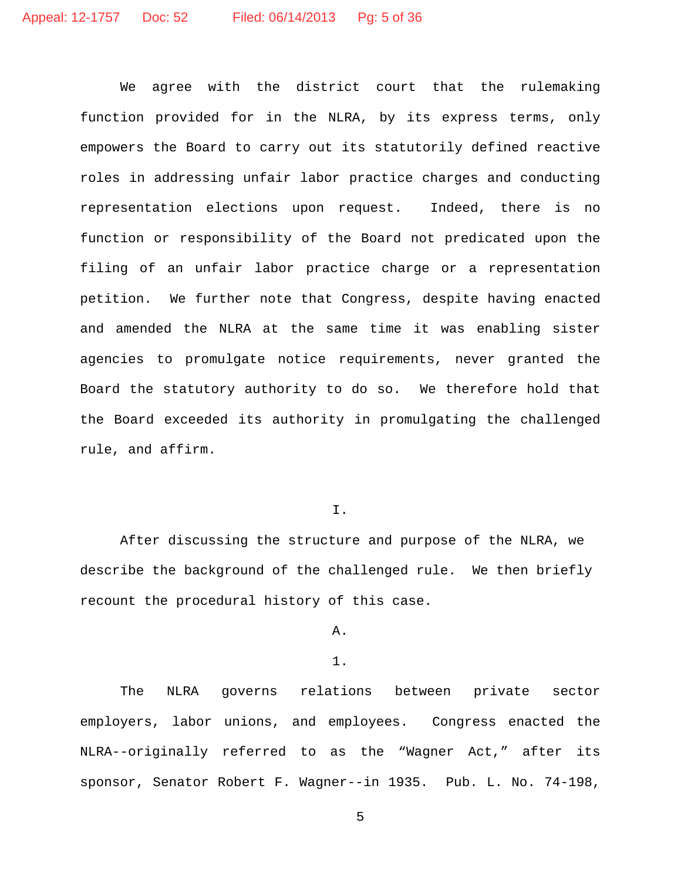We agree with the district court that the rulemaking function provided for in the NLRA, by its express terms, only empowers the Board to carry out its statutorily defined reactive roles in addressing unfair labor practice charges and conducting representation elections upon request. Indeed, there is no function or responsibility of the Board not predicated upon the filing of an unfair labor practice charge or a representation petition. We further note that Congress, despite having enacted and amended the NLRA at the same time it was enabling sister agencies to promulgate notice requirements, never granted the Board the statutory authority to do so. We therefore hold that the Board exceeded its authority in promulgating the challenged rule, and affirm.

I.

After discussing the structure and purpose of the NLRA, we describe the background of the challenged rule. We then briefly recount the procedural history of this case.

## A.

### 1.

The NLRA governs relations between private sector employers, labor unions, and employees. Congress enacted the NLRA--originally referred to as the "Wagner Act," after its sponsor, Senator Robert F. Wagner--in 1935. Pub. L. No. 74-198,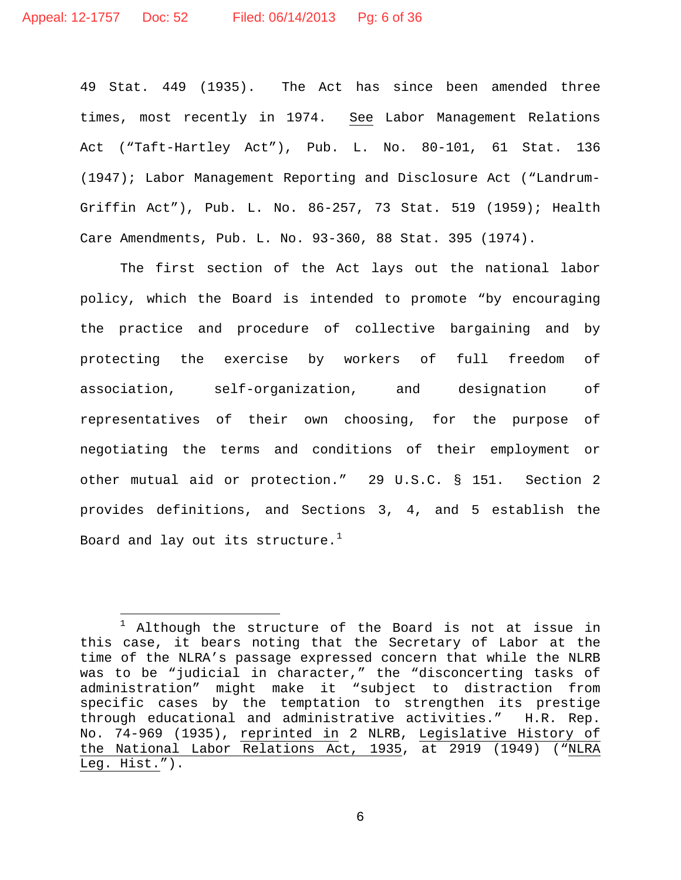49 Stat. 449 (1935). The Act has since been amended three times, most recently in 1974. See Labor Management Relations Act ("Taft-Hartley Act"), Pub. L. No. 80-101, 61 Stat. 136 (1947); Labor Management Reporting and Disclosure Act ("Landrum-Griffin Act"), Pub. L. No. 86-257, 73 Stat. 519 (1959); Health Care Amendments, Pub. L. No. 93-360, 88 Stat. 395 (1974).

The first section of the Act lays out the national labor policy, which the Board is intended to promote "by encouraging the practice and procedure of collective bargaining and by protecting the exercise by workers of full freedom of association, self-organization, and designation of representatives of their own choosing, for the purpose of negotiating the terms and conditions of their employment or other mutual aid or protection." 29 U.S.C. § 151. Section 2 provides definitions, and Sections 3, 4, and 5 establish the Board and lay out its structure. $<sup>1</sup>$  $<sup>1</sup>$  $<sup>1</sup>$ </sup>

<span id="page-5-0"></span> $\overline{a}$ <sup>1</sup> Although the structure of the Board is not at issue in this case, it bears noting that the Secretary of Labor at the time of the NLRA's passage expressed concern that while the NLRB was to be "judicial in character," the "disconcerting tasks of administration" might make it "subject to distraction from specific cases by the temptation to strengthen its prestige through educational and administrative activities." H.R. Rep. No. 74-969 (1935), reprinted in 2 NLRB, Legislative History of the National Labor Relations Act, 1935, at 2919 (1949) ("NLRA Leg. Hist.").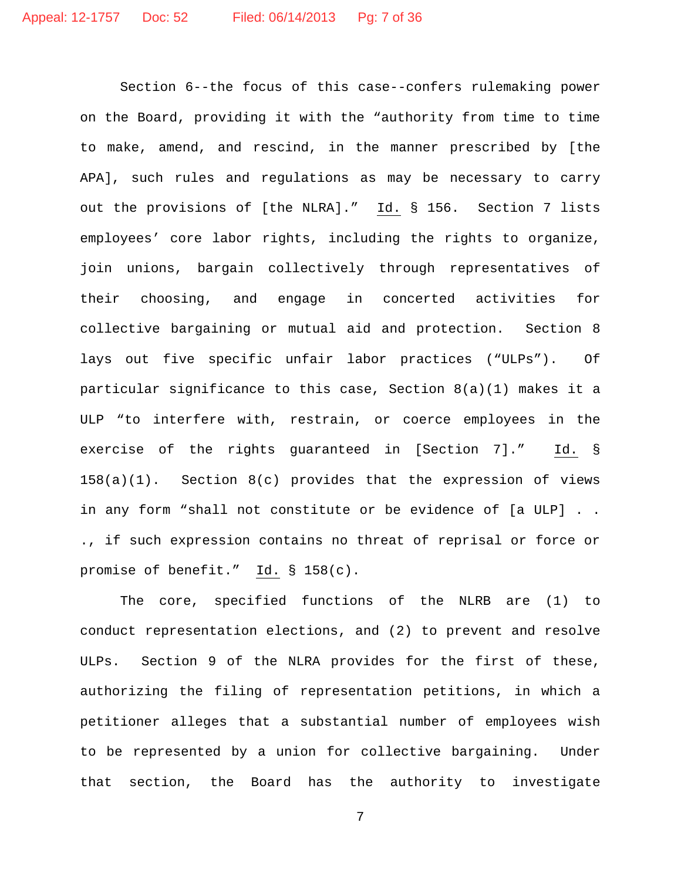Section 6--the focus of this case--confers rulemaking power on the Board, providing it with the "authority from time to time to make, amend, and rescind, in the manner prescribed by [the APA], such rules and regulations as may be necessary to carry out the provisions of [the NLRA]." Id. § 156. Section 7 lists employees' core labor rights, including the rights to organize, join unions, bargain collectively through representatives of their choosing, and engage in concerted activities for collective bargaining or mutual aid and protection. Section 8 lays out five specific unfair labor practices ("ULPs"). Of particular significance to this case, Section 8(a)(1) makes it a ULP "to interfere with, restrain, or coerce employees in the exercise of the rights guaranteed in [Section 7]." Id. § 158(a)(1). Section 8(c) provides that the expression of views in any form "shall not constitute or be evidence of [a ULP] . . ., if such expression contains no threat of reprisal or force or promise of benefit." Id. § 158(c).

The core, specified functions of the NLRB are (1) to conduct representation elections, and (2) to prevent and resolve ULPs. Section 9 of the NLRA provides for the first of these, authorizing the filing of representation petitions, in which a petitioner alleges that a substantial number of employees wish to be represented by a union for collective bargaining. Under that section, the Board has the authority to investigate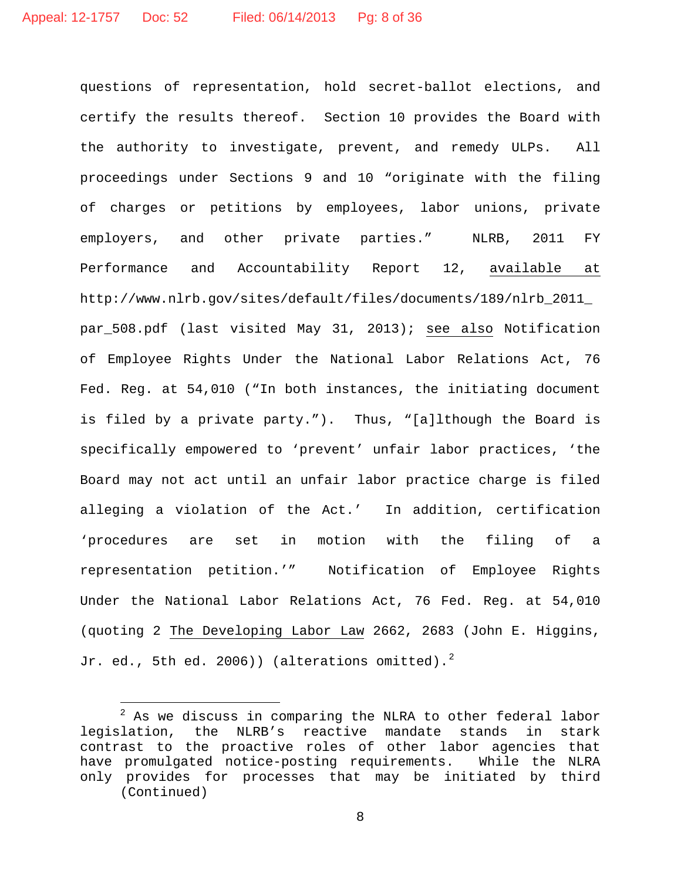questions of representation, hold secret-ballot elections, and certify the results thereof. Section 10 provides the Board with the authority to investigate, prevent, and remedy ULPs. All proceedings under Sections 9 and 10 "originate with the filing of charges or petitions by employees, labor unions, private employers, and other private parties." NLRB, 2011 FY Performance and Accountability Report 12, available at http://www.nlrb.gov/sites/default/files/documents/189/nlrb\_2011\_ par\_508.pdf (last visited May 31, 2013); see also Notification of Employee Rights Under the National Labor Relations Act, 76 Fed. Reg. at 54,010 ("In both instances, the initiating document is filed by a private party."). Thus, "[a]lthough the Board is specifically empowered to 'prevent' unfair labor practices, 'the Board may not act until an unfair labor practice charge is filed alleging a violation of the Act.' In addition, certification 'procedures are set in motion with the filing of a representation petition.'" Notification of Employee Rights Under the National Labor Relations Act, 76 Fed. Reg. at 54,010 (quoting 2 The Developing Labor Law 2662, 2683 (John E. Higgins, Jr. ed., 5th ed. [2](#page-7-0)006)) (alterations omitted).<sup>2</sup>

 $\overline{a}$ 

<span id="page-7-0"></span> $2^2$  As we discuss in comparing the NLRA to other federal labor legislation, the NLRB's reactive mandate stands in stark contrast to the proactive roles of other labor agencies that<br>have promulgated notice-posting requirements. While the NLRA have promulgated notice-posting requirements. only provides for processes that may be initiated by third (Continued)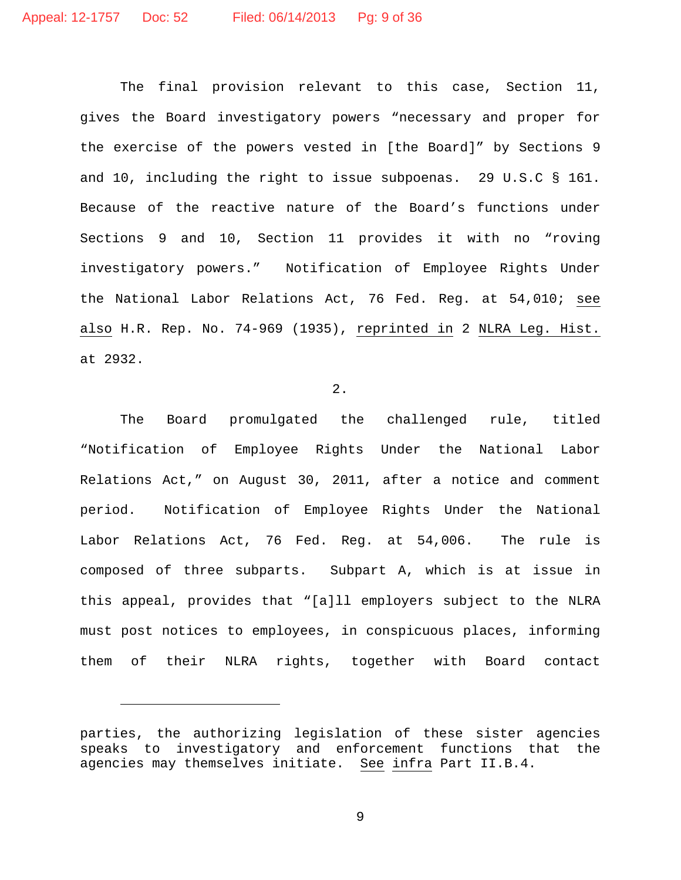The final provision relevant to this case, Section 11, gives the Board investigatory powers "necessary and proper for the exercise of the powers vested in [the Board]" by Sections 9 and 10, including the right to issue subpoenas. 29 U.S.C § 161. Because of the reactive nature of the Board's functions under Sections 9 and 10, Section 11 provides it with no "roving investigatory powers." Notification of Employee Rights Under the National Labor Relations Act, 76 Fed. Reg. at 54,010; see also H.R. Rep. No. 74-969 (1935), reprinted in 2 NLRA Leg. Hist. at 2932.

2.

The Board promulgated the challenged rule, titled "Notification of Employee Rights Under the National Labor Relations Act," on August 30, 2011, after a notice and comment period. Notification of Employee Rights Under the National Labor Relations Act, 76 Fed. Reg. at 54,006. The rule is composed of three subparts. Subpart A, which is at issue in this appeal, provides that "[a]ll employers subject to the NLRA must post notices to employees, in conspicuous places, informing them of their NLRA rights, together with Board contact

Ĩ.

parties, the authorizing legislation of these sister agencies speaks to investigatory and enforcement functions that the agencies may themselves initiate. See infra Part II.B.4.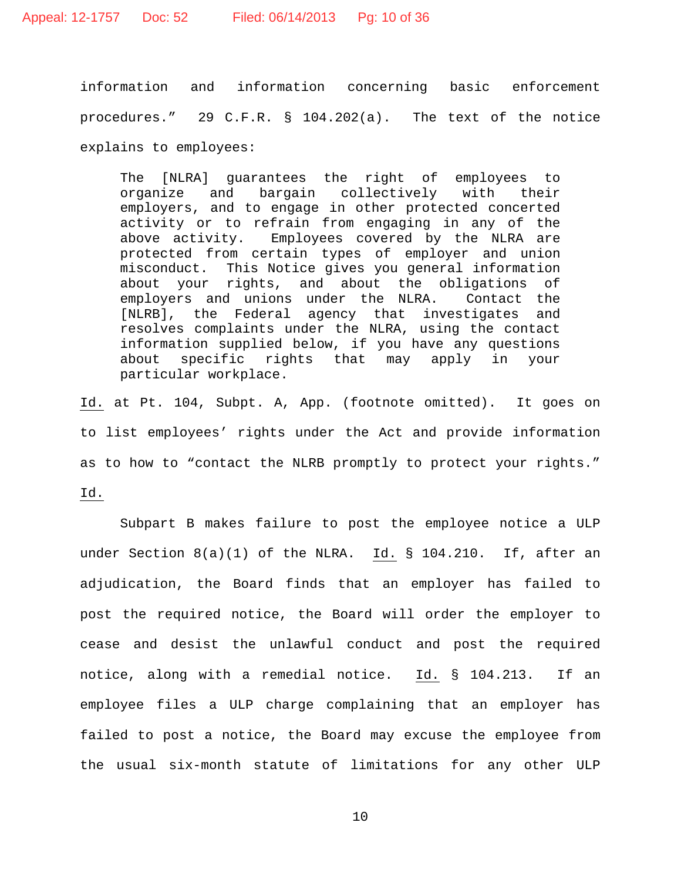information and information concerning basic enforcement procedures." 29 C.F.R. § 104.202(a). The text of the notice explains to employees:

The [NLRA] guarantees the right of employees to<br>organize and bargain collectively with their organize and bargain collectively with their employers, and to engage in other protected concerted activity or to refrain from engaging in any of the above activity. Employees covered by the NLRA are protected from certain types of employer and union<br>misconduct. This Notice gives you general information This Notice gives you general information about your rights, and about the obligations of employers and unions under the NLRA. Contact the [NLRB], the Federal agency that investigates and resolves complaints under the NLRA, using the contact information supplied below, if you have any questions<br>about specific rights that may apply in your about specific rights that may apply in particular workplace.

Id. at Pt. 104, Subpt. A, App. (footnote omitted). It goes on to list employees' rights under the Act and provide information as to how to "contact the NLRB promptly to protect your rights."

Id.

Subpart B makes failure to post the employee notice a ULP under Section  $8(a)(1)$  of the NLRA. Id. § 104.210. If, after an adjudication, the Board finds that an employer has failed to post the required notice, the Board will order the employer to cease and desist the unlawful conduct and post the required notice, along with a remedial notice. Id. § 104.213. If an employee files a ULP charge complaining that an employer has failed to post a notice, the Board may excuse the employee from the usual six-month statute of limitations for any other ULP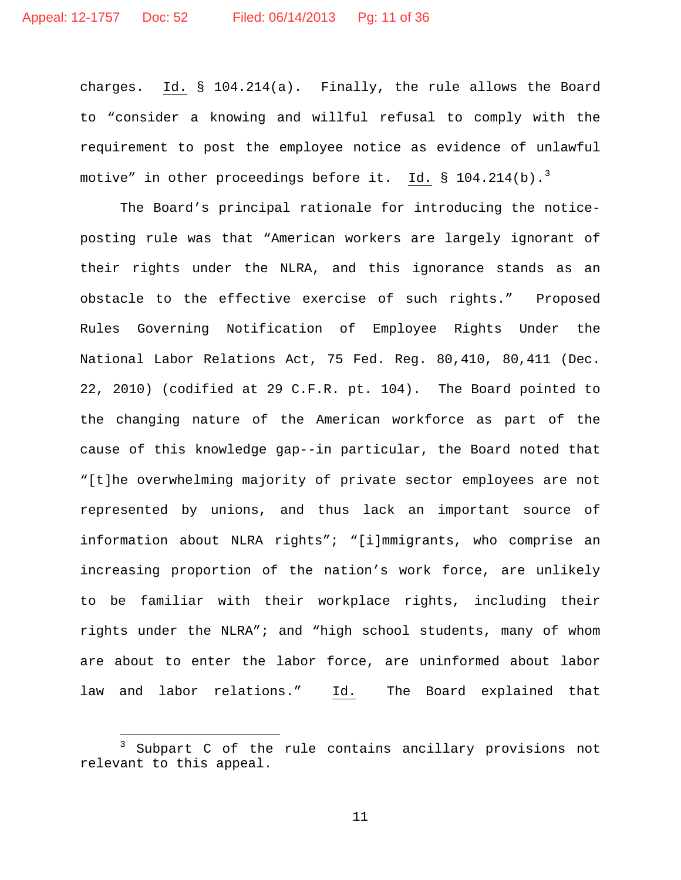charges. Id. § 104.214(a). Finally, the rule allows the Board to "consider a knowing and willful refusal to comply with the requirement to post the employee notice as evidence of unlawful motive" in other proceedings before it. Id. § 104.214(b).<sup>[3](#page-10-0)</sup>

The Board's principal rationale for introducing the noticeposting rule was that "American workers are largely ignorant of their rights under the NLRA, and this ignorance stands as an obstacle to the effective exercise of such rights." Proposed Rules Governing Notification of Employee Rights Under the National Labor Relations Act, 75 Fed. Reg. 80,410, 80,411 (Dec. 22, 2010) (codified at 29 C.F.R. pt. 104). The Board pointed to the changing nature of the American workforce as part of the cause of this knowledge gap--in particular, the Board noted that "[t]he overwhelming majority of private sector employees are not represented by unions, and thus lack an important source of information about NLRA rights"; "[i]mmigrants, who comprise an increasing proportion of the nation's work force, are unlikely to be familiar with their workplace rights, including their rights under the NLRA"; and "high school students, many of whom are about to enter the labor force, are uninformed about labor law and labor relations." Id. The Board explained that

<span id="page-10-0"></span> $\overline{a}$ Subpart C of the rule contains ancillary provisions not relevant to this appeal.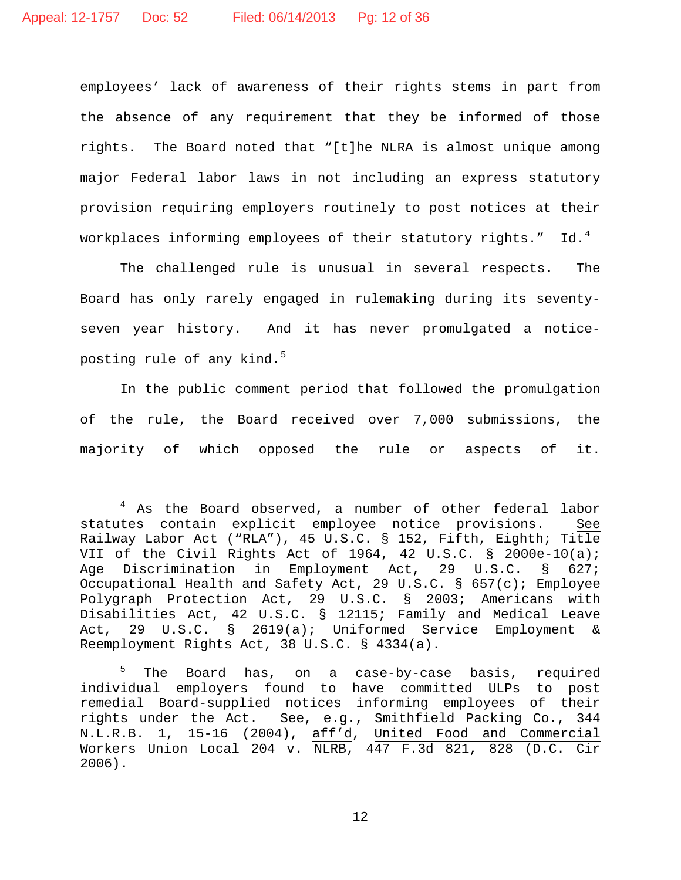$\overline{.}$ 

employees' lack of awareness of their rights stems in part from the absence of any requirement that they be informed of those rights. The Board noted that "[t]he NLRA is almost unique among major Federal labor laws in not including an express statutory provision requiring employers routinely to post notices at their workplaces informing employees of their statutory rights."  $Id.^4$  $Id.^4$ 

The challenged rule is unusual in several respects. The Board has only rarely engaged in rulemaking during its seventyseven year history. And it has never promulgated a notice-posting rule of any kind.<sup>[5](#page-11-1)</sup>

<span id="page-11-2"></span>In the public comment period that followed the promulgation of the rule, the Board received over 7,000 submissions, the majority of which opposed the rule or aspects of it.

<span id="page-11-0"></span> $4$  As the Board observed, a number of other federal labor statutes contain explicit employee notice provisions. See Railway Labor Act ("RLA"), 45 U.S.C. § 152, Fifth, Eighth; Title VII of the Civil Rights Act of 1964, 42 U.S.C. § 2000e-10(a);<br>Age Discrimination in Employment Act, 29 U.S.C. § 627; Age Discrimination in Employment Act, 29 U.S.C. Occupational Health and Safety Act, 29 U.S.C. § 657(c); Employee Polygraph Protection Act, 29 U.S.C. § 2003; Americans with Disabilities Act, 42 U.S.C. § 12115; Family and Medical Leave Act, 29 U.S.C. § 2619(a); Uniformed Service Employment & Reemployment Rights Act, 38 U.S.C. § 4334(a).

<span id="page-11-1"></span>The Board has, on a case-by-case basis, required individual employers found to have committed ULPs to post remedial Board-supplied notices informing employees of their rights under the Act. See, e.g., Smithfield Packing Co., 344 N.L.R.B. 1, 15-16 (2004), aff'd, United Food and Commercial Workers Union Local 204 v. NLRB, 447 F.3d 821, 828 (D.C. Cir 2006).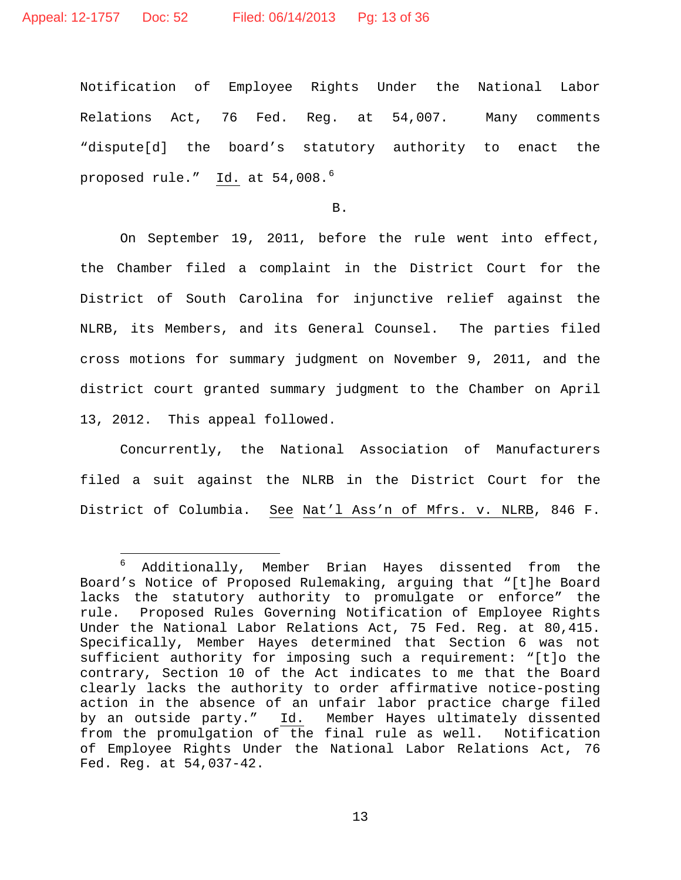Notification of Employee Rights Under the National Labor Relations Act, 76 Fed. Reg. at 54,007. Many comments "dispute[d] the board's statutory authority to enact the proposed rule." Id. at 54,008.<sup>[6](#page-12-0)</sup>

B.

On September 19, 2011, before the rule went into effect, the Chamber filed a complaint in the District Court for the District of South Carolina for injunctive relief against the NLRB, its Members, and its General Counsel. The parties filed cross motions for summary judgment on November 9, 2011, and the district court granted summary judgment to the Chamber on April 13, 2012. This appeal followed.

Concurrently, the National Association of Manufacturers filed a suit against the NLRB in the District Court for the District of Columbia. See Nat'l Ass'n of Mfrs. v. NLRB, 846 F.

<span id="page-12-0"></span> $6\overline{6}$ Additionally, Member Brian Hayes dissented from the Board's Notice of Proposed Rulemaking, arguing that "[t]he Board lacks the statutory authority to promulgate or enforce" the rule. Proposed Rules Governing Notification of Employee Rights Under the National Labor Relations Act, 75 Fed. Reg. at 80,415. Specifically, Member Hayes determined that Section 6 was not sufficient authority for imposing such a requirement: "[t]o the contrary, Section 10 of the Act indicates to me that the Board clearly lacks the authority to order affirmative notice-posting action in the absence of an unfair labor practice charge filed<br>by an outside party." Id. Member Hayes ultimately dissented Member Hayes ultimately dissented from the promulgation of the final rule as well. Notification of Employee Rights Under the National Labor Relations Act, 76 Fed. Reg. at 54,037-42.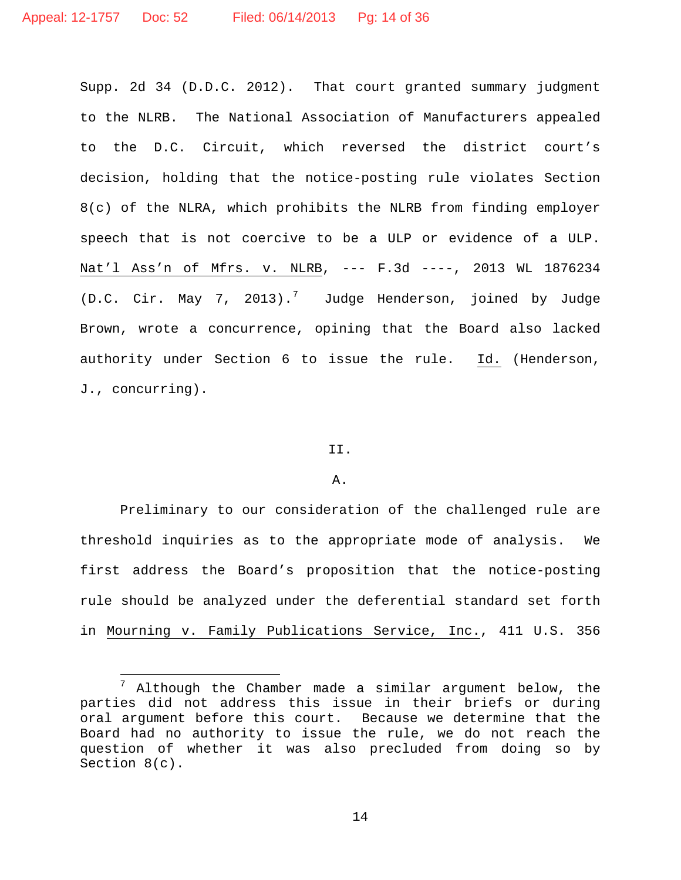Supp. 2d 34 (D.D.C. 2012). That court granted summary judgment to the NLRB. The National Association of Manufacturers appealed to the D.C. Circuit, which reversed the district court's decision, holding that the notice-posting rule violates Section 8(c) of the NLRA, which prohibits the NLRB from finding employer speech that is not coercive to be a ULP or evidence of a ULP. Nat'l Ass'n of Mfrs. v. NLRB, --- F.3d ----, 2013 WL 1876234 (D.C. Cir. May [7](#page-13-0), 2013).<sup>7</sup> Judge Henderson, joined by Judge Brown, wrote a concurrence, opining that the Board also lacked authority under Section 6 to issue the rule. Id. (Henderson, J., concurring).

### II.

### A.

Preliminary to our consideration of the challenged rule are threshold inquiries as to the appropriate mode of analysis. We first address the Board's proposition that the notice-posting rule should be analyzed under the deferential standard set forth in Mourning v. Family Publications Service, Inc., 411 U.S. 356

<span id="page-13-0"></span> $\overline{a}$  $^7$  Although the Chamber made a similar argument below, the parties did not address this issue in their briefs or during oral argument before this court. Because we determine that the Board had no authority to issue the rule, we do not reach the question of whether it was also precluded from doing so by Section 8(c).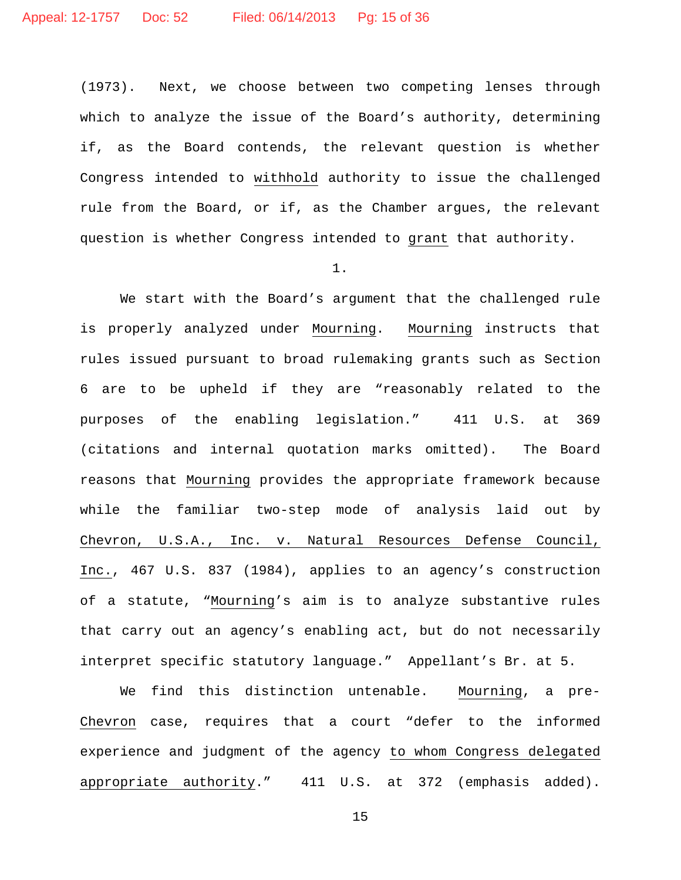(1973). Next, we choose between two competing lenses through which to analyze the issue of the Board's authority, determining if, as the Board contends, the relevant question is whether Congress intended to withhold authority to issue the challenged rule from the Board, or if, as the Chamber argues, the relevant question is whether Congress intended to grant that authority.

### 1.

We start with the Board's argument that the challenged rule is properly analyzed under Mourning. Mourning instructs that rules issued pursuant to broad rulemaking grants such as Section 6 are to be upheld if they are "reasonably related to the purposes of the enabling legislation." 411 U.S. at 369 (citations and internal quotation marks omitted). The Board reasons that Mourning provides the appropriate framework because while the familiar two-step mode of analysis laid out by Chevron, U.S.A., Inc. v. Natural Resources Defense Council, Inc., 467 U.S. 837 (1984), applies to an agency's construction of a statute, "Mourning's aim is to analyze substantive rules that carry out an agency's enabling act, but do not necessarily interpret specific statutory language." Appellant's Br. at 5.

We find this distinction untenable. Mourning, a pre-Chevron case, requires that a court "defer to the informed experience and judgment of the agency to whom Congress delegated appropriate authority." 411 U.S. at 372 (emphasis added).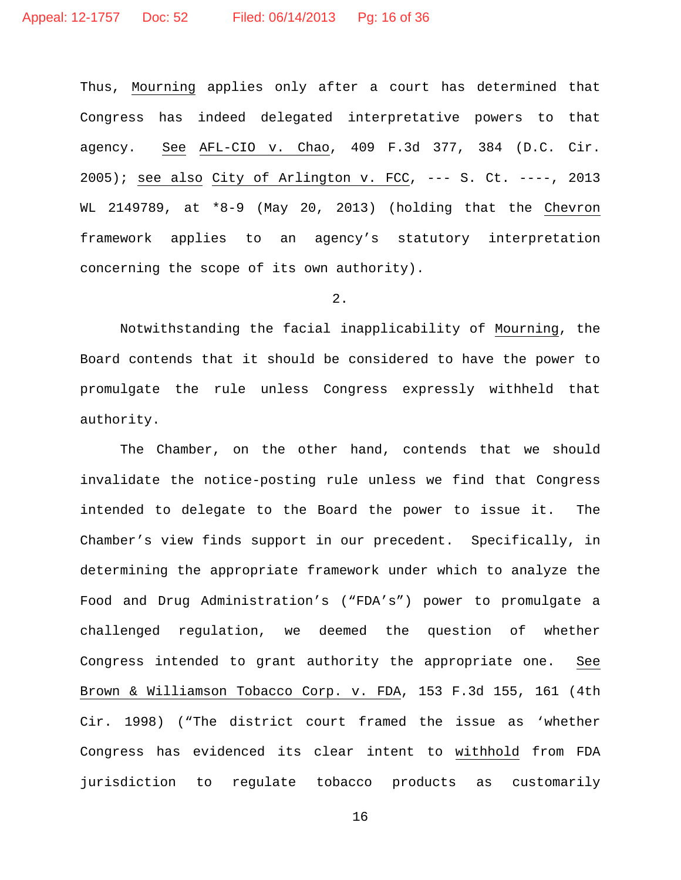Thus, Mourning applies only after a court has determined that Congress has indeed delegated interpretative powers to that agency. See AFL-CIO v. Chao, 409 F.3d 377, 384 (D.C. Cir.  $2005$ ); see also City of Arlington v. FCC, --- S. Ct. ----, 2013 WL 2149789, at \*8-9 (May 20, 2013) (holding that the Chevron framework applies to an agency's statutory interpretation concerning the scope of its own authority).

## 2.

Notwithstanding the facial inapplicability of Mourning, the Board contends that it should be considered to have the power to promulgate the rule unless Congress expressly withheld that authority.

The Chamber, on the other hand, contends that we should invalidate the notice-posting rule unless we find that Congress intended to delegate to the Board the power to issue it. The Chamber's view finds support in our precedent. Specifically, in determining the appropriate framework under which to analyze the Food and Drug Administration's ("FDA's") power to promulgate a challenged regulation, we deemed the question of whether Congress intended to grant authority the appropriate one. See Brown & Williamson Tobacco Corp. v. FDA, 153 F.3d 155, 161 (4th Cir. 1998) ("The district court framed the issue as 'whether Congress has evidenced its clear intent to withhold from FDA jurisdiction to regulate tobacco products as customarily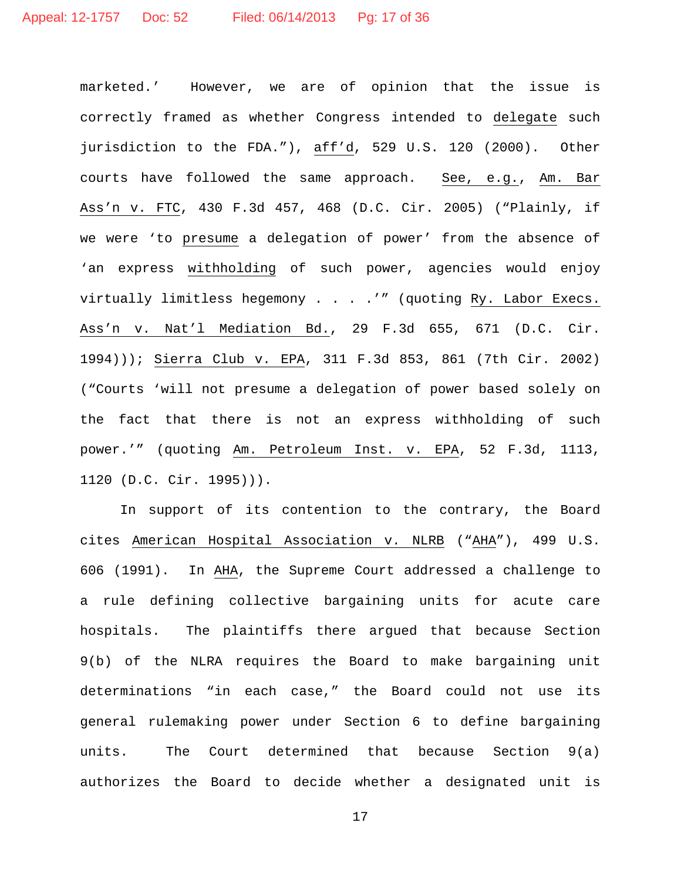marketed.' However, we are of opinion that the issue is correctly framed as whether Congress intended to delegate such jurisdiction to the FDA."), aff'd, 529 U.S. 120 (2000). Other courts have followed the same approach. See, e.g., Am. Bar Ass'n v. FTC, 430 F.3d 457, 468 (D.C. Cir. 2005) ("Plainly, if we were 'to presume a delegation of power' from the absence of 'an express withholding of such power, agencies would enjoy virtually limitless hegemony . . . .'" (quoting Ry. Labor Execs. Ass'n v. Nat'l Mediation Bd., 29 F.3d 655, 671 (D.C. Cir. 1994))); Sierra Club v. EPA, 311 F.3d 853, 861 (7th Cir. 2002) ("Courts 'will not presume a delegation of power based solely on the fact that there is not an express withholding of such power.'" (quoting Am. Petroleum Inst. v. EPA, 52 F.3d, 1113, 1120 (D.C. Cir. 1995))).

In support of its contention to the contrary, the Board cites American Hospital Association v. NLRB ("AHA"), 499 U.S. 606 (1991). In AHA, the Supreme Court addressed a challenge to a rule defining collective bargaining units for acute care hospitals. The plaintiffs there argued that because Section 9(b) of the NLRA requires the Board to make bargaining unit determinations "in each case," the Board could not use its general rulemaking power under Section 6 to define bargaining units. The Court determined that because Section 9(a) authorizes the Board to decide whether a designated unit is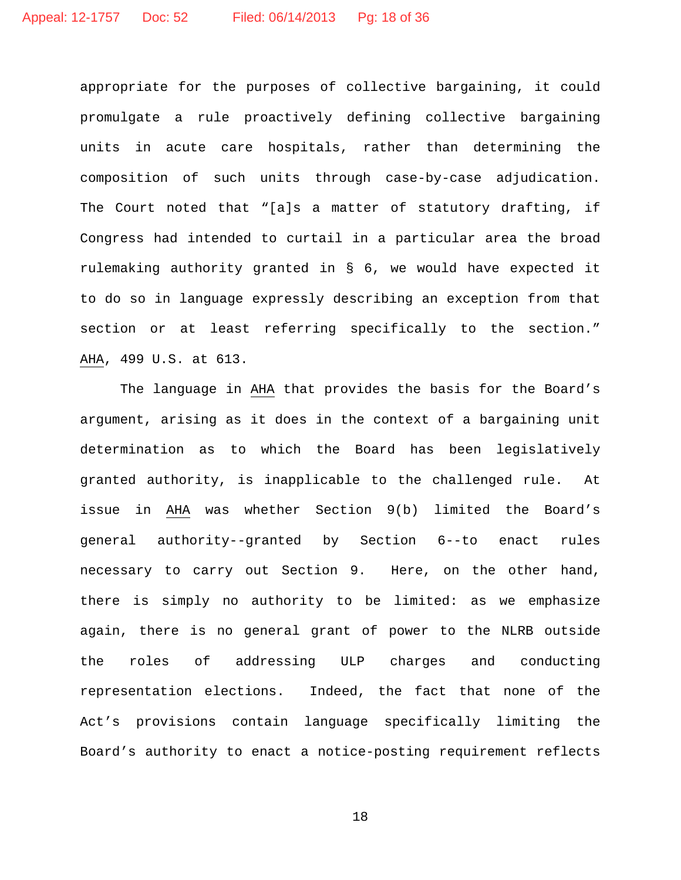appropriate for the purposes of collective bargaining, it could promulgate a rule proactively defining collective bargaining units in acute care hospitals, rather than determining the composition of such units through case-by-case adjudication. The Court noted that "[a]s a matter of statutory drafting, if Congress had intended to curtail in a particular area the broad rulemaking authority granted in § 6, we would have expected it to do so in language expressly describing an exception from that section or at least referring specifically to the section." AHA, 499 U.S. at 613.

The language in AHA that provides the basis for the Board's argument, arising as it does in the context of a bargaining unit determination as to which the Board has been legislatively granted authority, is inapplicable to the challenged rule. At issue in AHA was whether Section 9(b) limited the Board's general authority--granted by Section 6--to enact rules necessary to carry out Section 9. Here, on the other hand, there is simply no authority to be limited: as we emphasize again, there is no general grant of power to the NLRB outside the roles of addressing ULP charges and conducting representation elections. Indeed, the fact that none of the Act's provisions contain language specifically limiting the Board's authority to enact a notice-posting requirement reflects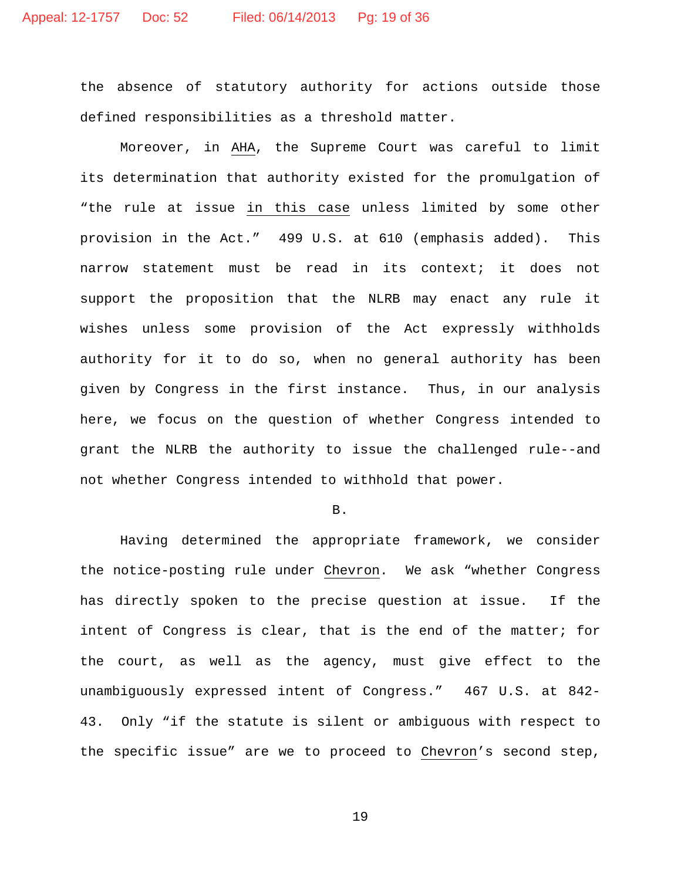the absence of statutory authority for actions outside those defined responsibilities as a threshold matter.

Moreover, in AHA, the Supreme Court was careful to limit its determination that authority existed for the promulgation of "the rule at issue in this case unless limited by some other provision in the Act." 499 U.S. at 610 (emphasis added). This narrow statement must be read in its context; it does not support the proposition that the NLRB may enact any rule it wishes unless some provision of the Act expressly withholds authority for it to do so, when no general authority has been given by Congress in the first instance. Thus, in our analysis here, we focus on the question of whether Congress intended to grant the NLRB the authority to issue the challenged rule--and not whether Congress intended to withhold that power.

B.

Having determined the appropriate framework, we consider the notice-posting rule under Chevron. We ask "whether Congress has directly spoken to the precise question at issue. If the intent of Congress is clear, that is the end of the matter; for the court, as well as the agency, must give effect to the unambiguously expressed intent of Congress." 467 U.S. at 842- 43. Only "if the statute is silent or ambiguous with respect to the specific issue" are we to proceed to Chevron's second step,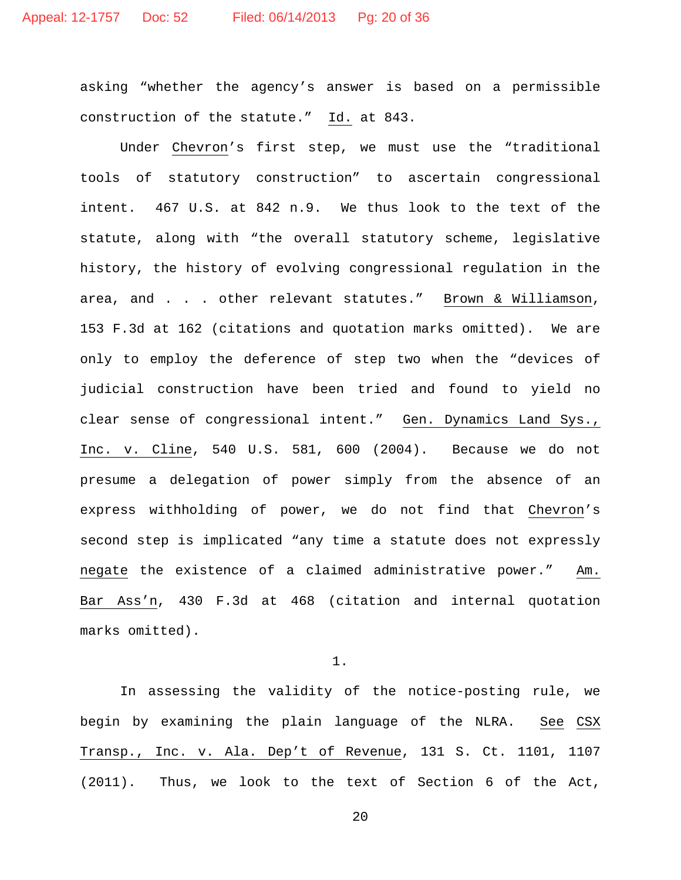asking "whether the agency's answer is based on a permissible construction of the statute." Id. at 843.

Under Chevron's first step, we must use the "traditional tools of statutory construction" to ascertain congressional intent. 467 U.S. at 842 n.9. We thus look to the text of the statute, along with "the overall statutory scheme, legislative history, the history of evolving congressional regulation in the area, and . . . other relevant statutes." Brown & Williamson, 153 F.3d at 162 (citations and quotation marks omitted). We are only to employ the deference of step two when the "devices of judicial construction have been tried and found to yield no clear sense of congressional intent." Gen. Dynamics Land Sys., Inc. v. Cline, 540 U.S. 581, 600 (2004). Because we do not presume a delegation of power simply from the absence of an express withholding of power, we do not find that Chevron's second step is implicated "any time a statute does not expressly negate the existence of a claimed administrative power." Am. Bar Ass'n, 430 F.3d at 468 (citation and internal quotation marks omitted).

1.

In assessing the validity of the notice-posting rule, we begin by examining the plain language of the NLRA. See CSX Transp., Inc. v. Ala. Dep't of Revenue, 131 S. Ct. 1101, 1107 (2011). Thus, we look to the text of Section 6 of the Act,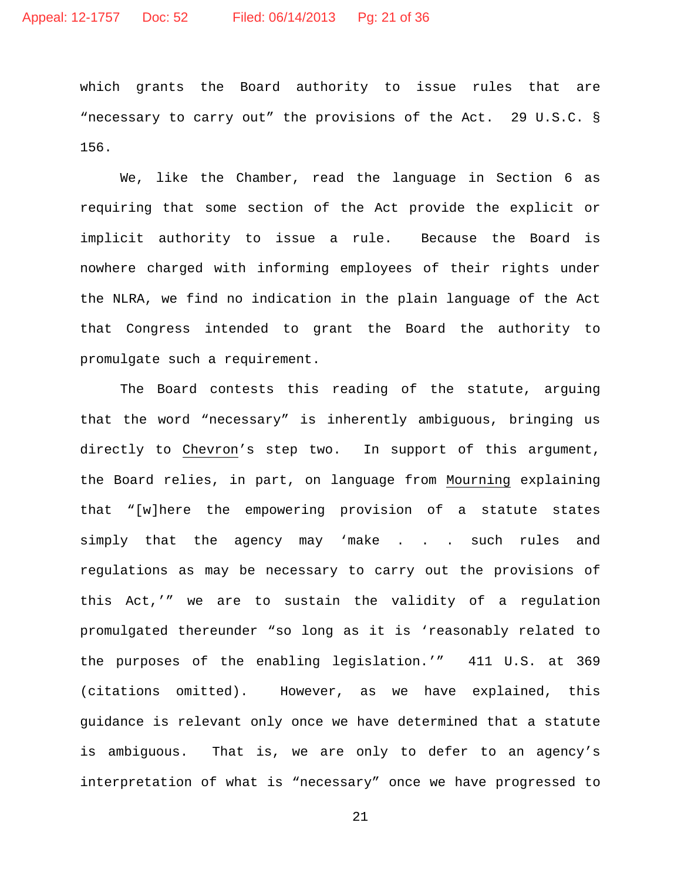which grants the Board authority to issue rules that are "necessary to carry out" the provisions of the Act. 29 U.S.C. § 156.

We, like the Chamber, read the language in Section 6 as requiring that some section of the Act provide the explicit or implicit authority to issue a rule. Because the Board is nowhere charged with informing employees of their rights under the NLRA, we find no indication in the plain language of the Act that Congress intended to grant the Board the authority to promulgate such a requirement.

The Board contests this reading of the statute, arguing that the word "necessary" is inherently ambiguous, bringing us directly to Chevron's step two. In support of this argument, the Board relies, in part, on language from Mourning explaining that "[w]here the empowering provision of a statute states simply that the agency may 'make . . . such rules and regulations as may be necessary to carry out the provisions of this Act,'" we are to sustain the validity of a regulation promulgated thereunder "so long as it is 'reasonably related to the purposes of the enabling legislation.'" 411 U.S. at 369 (citations omitted). However, as we have explained, this guidance is relevant only once we have determined that a statute is ambiguous. That is, we are only to defer to an agency's interpretation of what is "necessary" once we have progressed to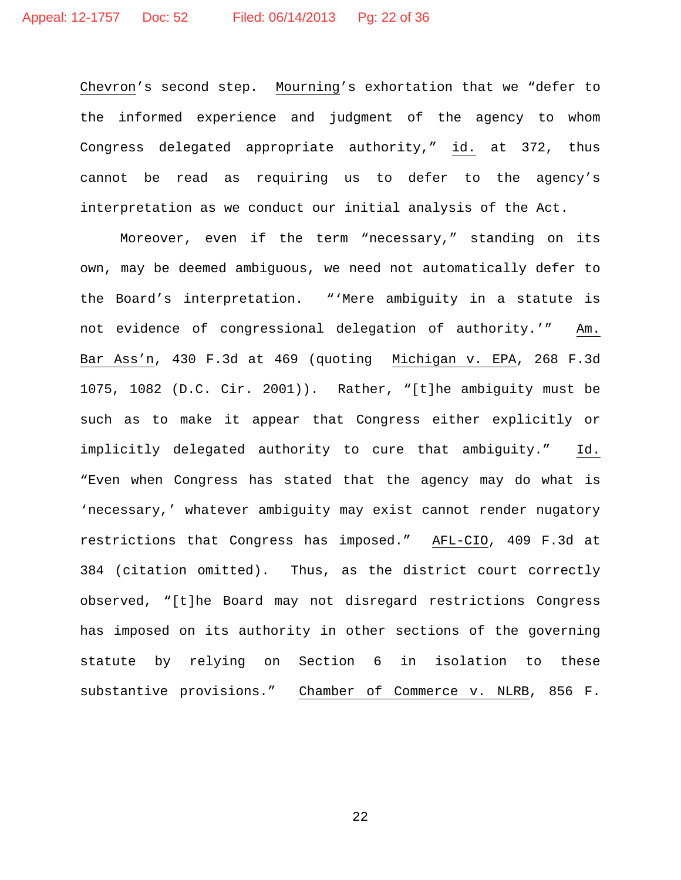Chevron's second step. Mourning's exhortation that we "defer to the informed experience and judgment of the agency to whom Congress delegated appropriate authority," id. at 372, thus cannot be read as requiring us to defer to the agency's interpretation as we conduct our initial analysis of the Act.

Moreover, even if the term "necessary," standing on its own, may be deemed ambiguous, we need not automatically defer to the Board's interpretation. "'Mere ambiguity in a statute is not evidence of congressional delegation of authority.'" Am. Bar Ass'n, 430 F.3d at 469 (quoting Michigan v. EPA, 268 F.3d 1075, 1082 (D.C. Cir. 2001)). Rather, "[t]he ambiguity must be such as to make it appear that Congress either explicitly or implicitly delegated authority to cure that ambiguity." Id. "Even when Congress has stated that the agency may do what is 'necessary,' whatever ambiguity may exist cannot render nugatory restrictions that Congress has imposed." AFL-CIO, 409 F.3d at 384 (citation omitted). Thus, as the district court correctly observed, "[t]he Board may not disregard restrictions Congress has imposed on its authority in other sections of the governing statute by relying on Section 6 in isolation to these substantive provisions." Chamber of Commerce v. NLRB, 856 F.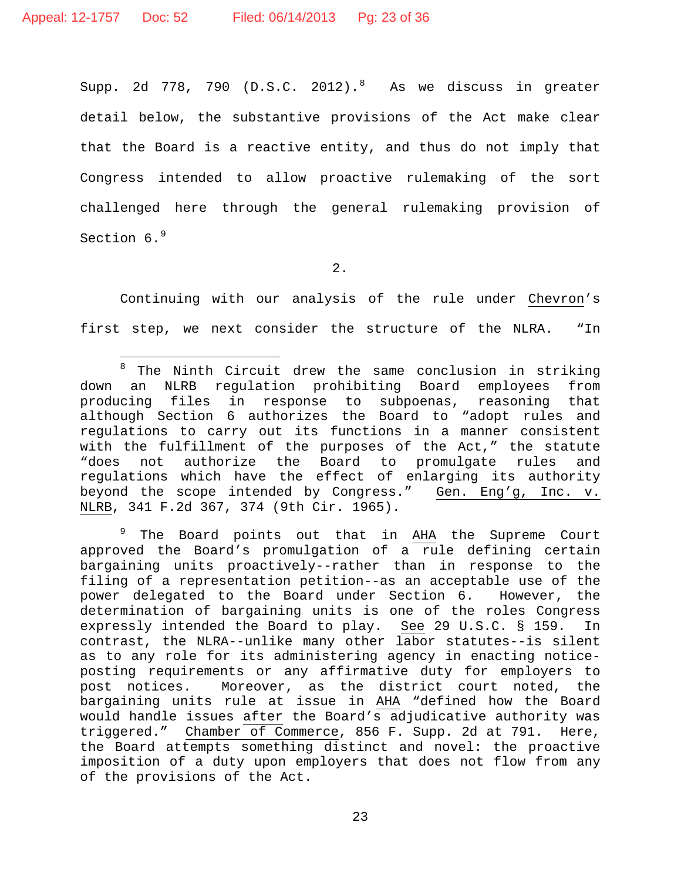Supp.  $2d$  77[8](#page-22-0), 790 (D.S.C.  $2012$ ).<sup>8</sup> As we discuss in greater detail below, the substantive provisions of the Act make clear that the Board is a reactive entity, and thus do not imply that Congress intended to allow proactive rulemaking of the sort challenged here through the general rulemaking provision of Section 6.<sup>[9](#page-22-1)</sup>

2.

Continuing with our analysis of the rule under Chevron's first step, we next consider the structure of the NLRA. "In

<span id="page-22-1"></span><sup>9</sup> The Board points out that in AHA the Supreme Court approved the Board's promulgation of a rule defining certain bargaining units proactively--rather than in response to the filing of a representation petition--as an acceptable use of the power delegated to the Board under Section 6. However, the determination of bargaining units is one of the roles Congress<br>expressly intended the Board to play. See 29 U.S.C. § 159. In expressly intended the Board to play. See 29 U.S.C. § 159. In contrast, the NLRA--unlike many other labor statutes--is silent as to any role for its administering agency in enacting noticeposting requirements or any affirmative duty for employers to post notices. Moreover, as the district court noted, the bargaining units rule at issue in AHA "defined how the Board would handle issues after the Board's adjudicative authority was triggered." Chamber of Commerce, 856 F. Supp. 2d at 791. Here, the Board attempts something distinct and novel: the proactive imposition of a duty upon employers that does not flow from any of the provisions of the Act.

<span id="page-22-0"></span> $\overline{a}$ <sup>8</sup> The Ninth Circuit drew the same conclusion in striking down an NLRB regulation prohibiting Board employees from producing files in response to subpoenas, reasoning that although Section 6 authorizes the Board to "adopt rules and regulations to carry out its functions in a manner consistent with the fulfillment of the purposes of the Act," the statute<br>"does not authorize the Board to promulgate rules and authorize the Board to promulgate rules and regulations which have the effect of enlarging its authority beyond the scope intended by Congress." Gen. Eng'g, Inc. v. NLRB, 341 F.2d 367, 374 (9th Cir. 1965).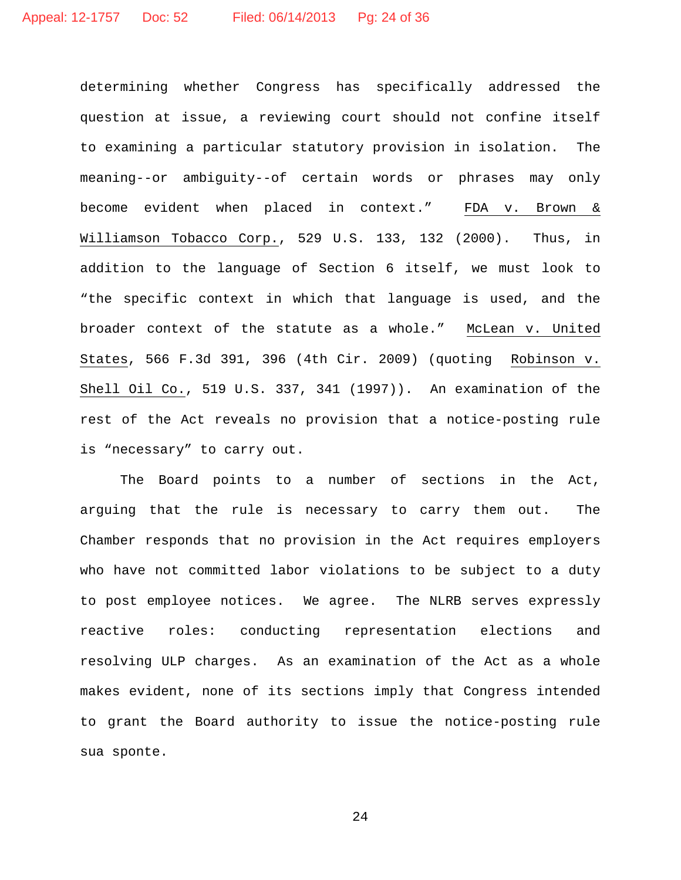determining whether Congress has specifically addressed the question at issue, a reviewing court should not confine itself to examining a particular statutory provision in isolation. The meaning--or ambiguity--of certain words or phrases may only become evident when placed in context." FDA v. Brown & Williamson Tobacco Corp., 529 U.S. 133, 132 (2000). Thus, in addition to the language of Section 6 itself, we must look to "the specific context in which that language is used, and the broader context of the statute as a whole." McLean v. United States, 566 F.3d 391, 396 (4th Cir. 2009) (quoting Robinson v. Shell Oil Co., 519 U.S. 337, 341 (1997)). An examination of the rest of the Act reveals no provision that a notice-posting rule is "necessary" to carry out.

The Board points to a number of sections in the Act, arguing that the rule is necessary to carry them out. The Chamber responds that no provision in the Act requires employers who have not committed labor violations to be subject to a duty to post employee notices. We agree. The NLRB serves expressly reactive roles: conducting representation elections and resolving ULP charges. As an examination of the Act as a whole makes evident, none of its sections imply that Congress intended to grant the Board authority to issue the notice-posting rule sua sponte.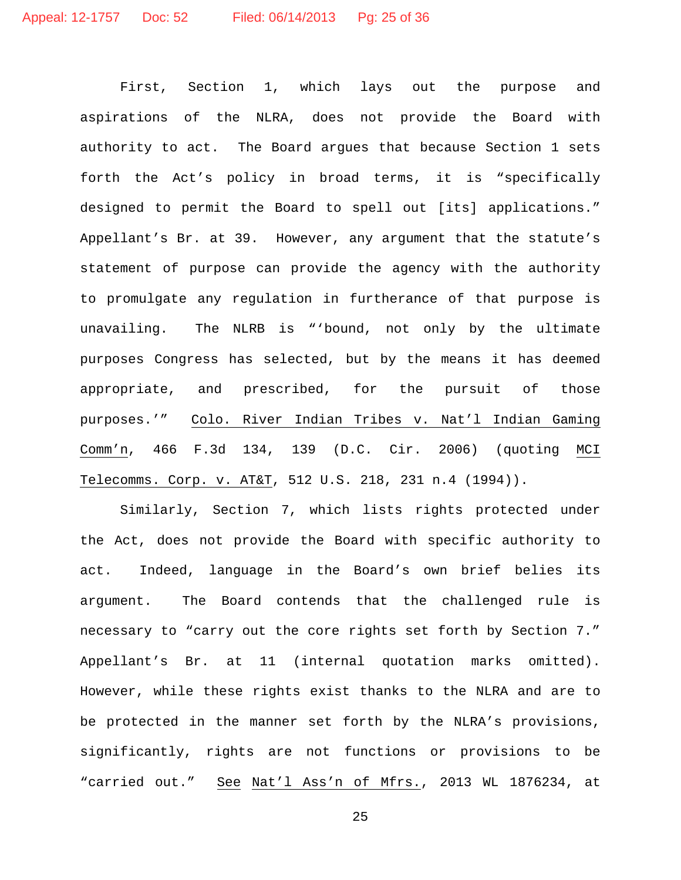First, Section 1, which lays out the purpose and aspirations of the NLRA, does not provide the Board with authority to act. The Board argues that because Section 1 sets forth the Act's policy in broad terms, it is "specifically designed to permit the Board to spell out [its] applications." Appellant's Br. at 39. However, any argument that the statute's statement of purpose can provide the agency with the authority to promulgate any regulation in furtherance of that purpose is unavailing. The NLRB is "'bound, not only by the ultimate purposes Congress has selected, but by the means it has deemed appropriate, and prescribed, for the pursuit of those purposes.'" Colo. River Indian Tribes v. Nat'l Indian Gaming Comm'n, 466 F.3d 134, 139 (D.C. Cir. 2006) (quoting MCI Telecomms. Corp. v. AT&T, 512 U.S. 218, 231 n.4 (1994)).

Similarly, Section 7, which lists rights protected under the Act, does not provide the Board with specific authority to act. Indeed, language in the Board's own brief belies its argument. The Board contends that the challenged rule is necessary to "carry out the core rights set forth by Section 7." Appellant's Br. at 11 (internal quotation marks omitted). However, while these rights exist thanks to the NLRA and are to be protected in the manner set forth by the NLRA's provisions, significantly, rights are not functions or provisions to be "carried out." See Nat'l Ass'n of Mfrs., 2013 WL 1876234, at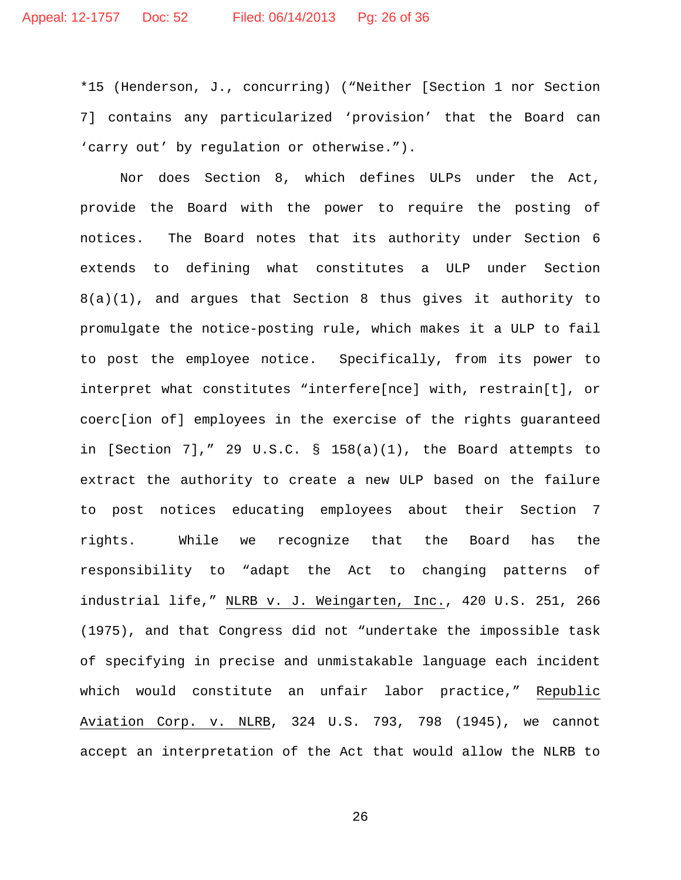\*15 (Henderson, J., concurring) ("Neither [Section 1 nor Section 7] contains any particularized 'provision' that the Board can 'carry out' by regulation or otherwise.").

Nor does Section 8, which defines ULPs under the Act, provide the Board with the power to require the posting of notices. The Board notes that its authority under Section 6 extends to defining what constitutes a ULP under Section 8(a)(1), and argues that Section 8 thus gives it authority to promulgate the notice-posting rule, which makes it a ULP to fail to post the employee notice. Specifically, from its power to interpret what constitutes "interfere[nce] with, restrain[t], or coerc[ion of] employees in the exercise of the rights guaranteed in [Section 7]," 29 U.S.C. § 158(a)(1), the Board attempts to extract the authority to create a new ULP based on the failure to post notices educating employees about their Section 7 rights. While we recognize that the Board has the responsibility to "adapt the Act to changing patterns of industrial life," NLRB v. J. Weingarten, Inc., 420 U.S. 251, 266 (1975), and that Congress did not "undertake the impossible task of specifying in precise and unmistakable language each incident which would constitute an unfair labor practice," Republic Aviation Corp. v. NLRB, 324 U.S. 793, 798 (1945), we cannot accept an interpretation of the Act that would allow the NLRB to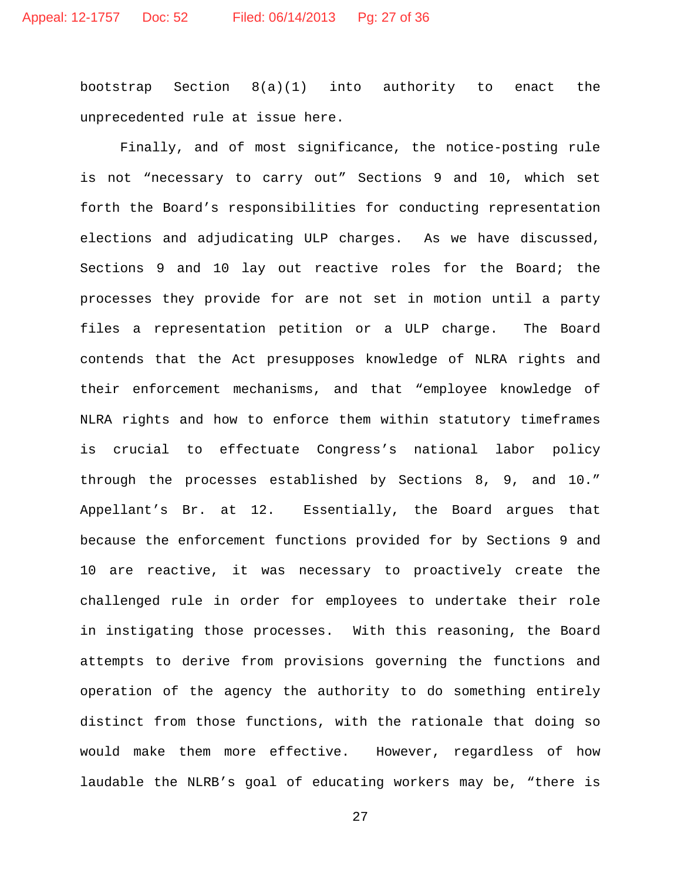bootstrap Section 8(a)(1) into authority to enact the unprecedented rule at issue here.

Finally, and of most significance, the notice-posting rule is not "necessary to carry out" Sections 9 and 10, which set forth the Board's responsibilities for conducting representation elections and adjudicating ULP charges. As we have discussed, Sections 9 and 10 lay out reactive roles for the Board; the processes they provide for are not set in motion until a party files a representation petition or a ULP charge. The Board contends that the Act presupposes knowledge of NLRA rights and their enforcement mechanisms, and that "employee knowledge of NLRA rights and how to enforce them within statutory timeframes is crucial to effectuate Congress's national labor policy through the processes established by Sections 8, 9, and 10." Appellant's Br. at 12. Essentially, the Board argues that because the enforcement functions provided for by Sections 9 and 10 are reactive, it was necessary to proactively create the challenged rule in order for employees to undertake their role in instigating those processes. With this reasoning, the Board attempts to derive from provisions governing the functions and operation of the agency the authority to do something entirely distinct from those functions, with the rationale that doing so would make them more effective. However, regardless of how laudable the NLRB's goal of educating workers may be, "there is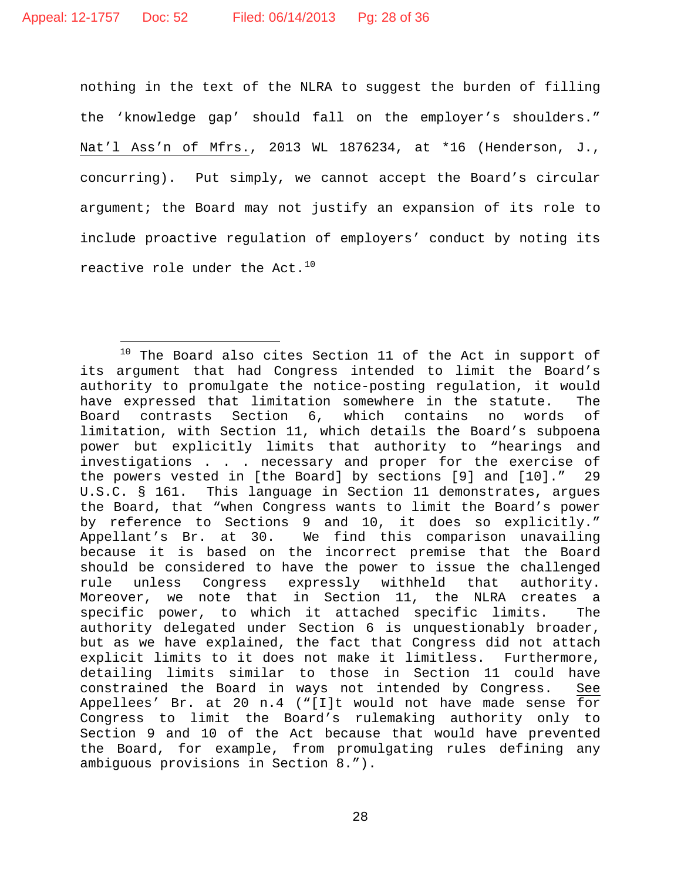nothing in the text of the NLRA to suggest the burden of filling the 'knowledge gap' should fall on the employer's shoulders." Nat'l Ass'n of Mfrs., 2013 WL 1876234, at \*16 (Henderson, J., concurring). Put simply, we cannot accept the Board's circular argument; the Board may not justify an expansion of its role to include proactive regulation of employers' conduct by noting its reactive role under the Act.<sup>[10](#page-27-0)</sup>

<span id="page-27-0"></span><sup>10</sup> The Board also cites Section 11 of the Act in support of its argument that had Congress intended to limit the Board's authority to promulgate the notice-posting regulation, it would have expressed that limitation somewhere in the statute. The Board contrasts Section 6, which contains no words of limitation, with Section 11, which details the Board's subpoena power but explicitly limits that authority to "hearings and investigations . . . necessary and proper for the exercise of the powers vested in [the Board] by sections [9] and [10]." 29 U.S.C. § 161. This language in Section 11 demonstrates, argues the Board, that "when Congress wants to limit the Board's power by reference to Sections 9 and 10, it does so explicitly." Appellant's Br. at 30. We find this comparison unavailing because it is based on the incorrect premise that the Board should be considered to have the power to issue the challenged rule unless Congress expressly withheld that authority. Moreover, we note that in Section 11, the NLRA creates a specific power, to which it attached specific limits. The authority delegated under Section 6 is unquestionably broader, but as we have explained, the fact that Congress did not attach explicit limits to it does not make it limitless. Furthermore, detailing limits similar to those in Section 11 could have constrained the Board in ways not intended by Congress. See Appellees' Br. at 20 n.4 ("[I]t would not have made sense for Congress to limit the Board's rulemaking authority only to Section 9 and 10 of the Act because that would have prevented the Board, for example, from promulgating rules defining any ambiguous provisions in Section 8.").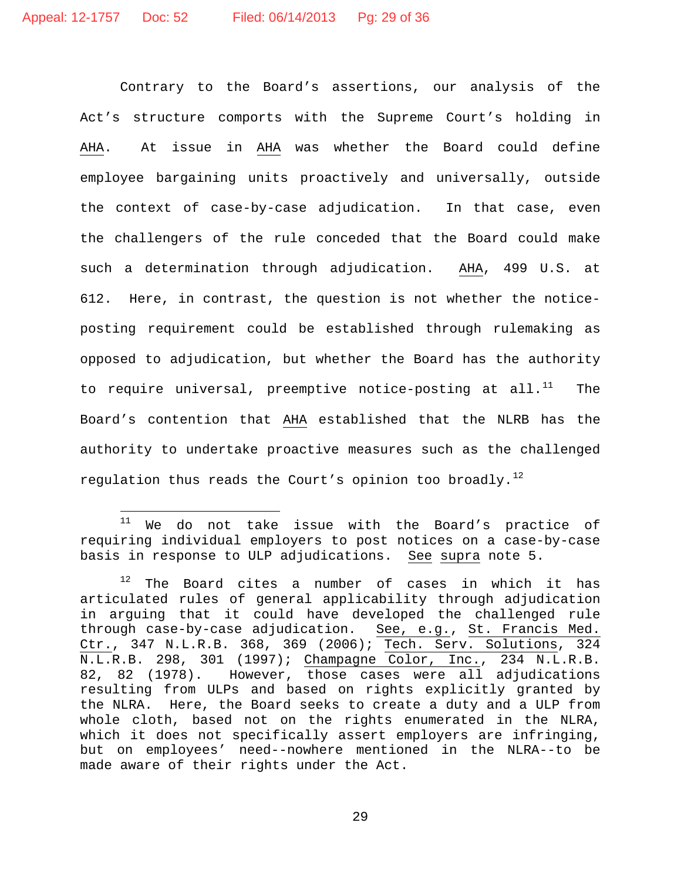Contrary to the Board's assertions, our analysis of the Act's structure comports with the Supreme Court's holding in AHA. At issue in AHA was whether the Board could define employee bargaining units proactively and universally, outside the context of case-by-case adjudication. In that case, even the challengers of the rule conceded that the Board could make such a determination through adjudication. AHA, 499 U.S. at 612. Here, in contrast, the question is not whether the noticeposting requirement could be established through rulemaking as opposed to adjudication, but whether the Board has the authority to require universal, preemptive notice-posting at all. $^{11}$  $^{11}$  $^{11}$  The Board's contention that AHA established that the NLRB has the authority to undertake proactive measures such as the challenged regulation thus reads the Court's opinion too broadly.<sup>[12](#page-28-1)</sup>

<span id="page-28-0"></span> $11$ We do not take issue with the Board's practice of requiring individual employers to post notices on a case-by-case basis in response to ULP adjudications. See supra note [5.](#page-11-2)

<span id="page-28-1"></span>The Board cites a number of cases in which it has articulated rules of general applicability through adjudication in arguing that it could have developed the challenged rule through case-by-case adjudication. See, e.g., St. Francis Med. Ctr., 347 N.L.R.B. 368, 369 (2006); Tech. Serv. Solutions, 324 N.L.R.B. 298, 301 (1997); Champagne Color, Inc., 234 N.L.R.B. 82, 82 (1978). However, those cases were all adjudications resulting from ULPs and based on rights explicitly granted by the NLRA. Here, the Board seeks to create a duty and a ULP from whole cloth, based not on the rights enumerated in the NLRA, which it does not specifically assert employers are infringing, but on employees' need--nowhere mentioned in the NLRA--to be made aware of their rights under the Act.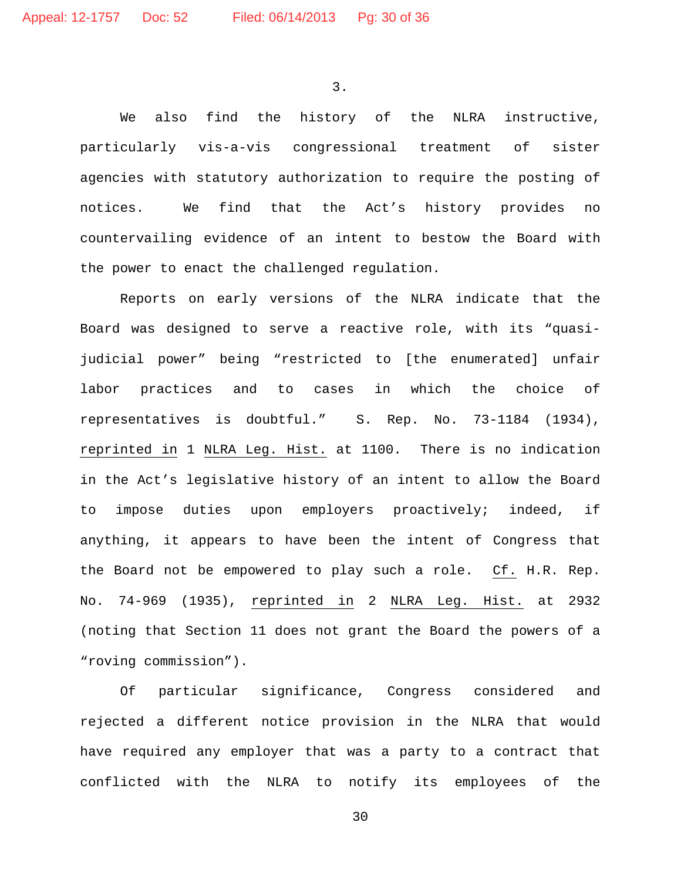3.

We also find the history of the NLRA instructive, particularly vis-a-vis congressional treatment of sister agencies with statutory authorization to require the posting of notices. We find that the Act's history provides no countervailing evidence of an intent to bestow the Board with the power to enact the challenged regulation.

Reports on early versions of the NLRA indicate that the Board was designed to serve a reactive role, with its "quasijudicial power" being "restricted to [the enumerated] unfair labor practices and to cases in which the choice of representatives is doubtful." S. Rep. No. 73-1184 (1934), reprinted in 1 NLRA Leg. Hist. at 1100. There is no indication in the Act's legislative history of an intent to allow the Board to impose duties upon employers proactively; indeed, if anything, it appears to have been the intent of Congress that the Board not be empowered to play such a role. Cf. H.R. Rep. No. 74-969 (1935), reprinted in 2 NLRA Leg. Hist. at 2932 (noting that Section 11 does not grant the Board the powers of a "roving commission").

Of particular significance, Congress considered and rejected a different notice provision in the NLRA that would have required any employer that was a party to a contract that conflicted with the NLRA to notify its employees of the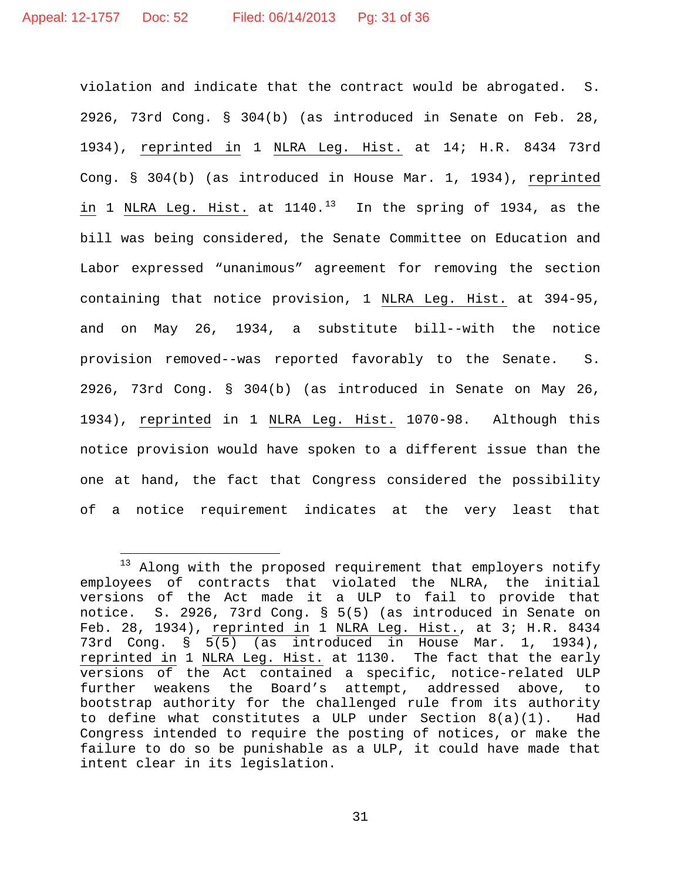violation and indicate that the contract would be abrogated. S. 2926, 73rd Cong. § 304(b) (as introduced in Senate on Feb. 28, 1934), reprinted in 1 NLRA Leg. Hist. at 14; H.R. 8434 73rd Cong. § 304(b) (as introduced in House Mar. 1, 1934), reprinted in 1 NLRA Leg. Hist. at  $1140.^{13}$  $1140.^{13}$  $1140.^{13}$  In the spring of 1934, as the bill was being considered, the Senate Committee on Education and Labor expressed "unanimous" agreement for removing the section containing that notice provision, 1 NLRA Leg. Hist. at 394-95, and on May 26, 1934, a substitute bill--with the notice provision removed--was reported favorably to the Senate. S. 2926, 73rd Cong. § 304(b) (as introduced in Senate on May 26, 1934), reprinted in 1 NLRA Leg. Hist. 1070-98. Although this notice provision would have spoken to a different issue than the one at hand, the fact that Congress considered the possibility of a notice requirement indicates at the very least that

<span id="page-30-0"></span> $\frac{1}{1}$ <sup>13</sup> Along with the proposed requirement that employers notify employees of contracts that violated the NLRA, the initial versions of the Act made it a ULP to fail to provide that notice. S. 2926, 73rd Cong. § 5(5) (as introduced in Senate on Feb. 28, 1934), reprinted in 1 NLRA Leg. Hist., at 3; H.R. 8434 73rd Cong. § 5(5) (as introduced in House Mar. 1, 1934), reprinted in 1 NLRA Leg. Hist. at 1130. The fact that the early versions of the Act contained a specific, notice-related ULP further weakens the Board's attempt, addressed above, to bootstrap authority for the challenged rule from its authority to define what constitutes a ULP under Section  $8(a)(1)$ . Had Congress intended to require the posting of notices, or make the failure to do so be punishable as a ULP, it could have made that intent clear in its legislation.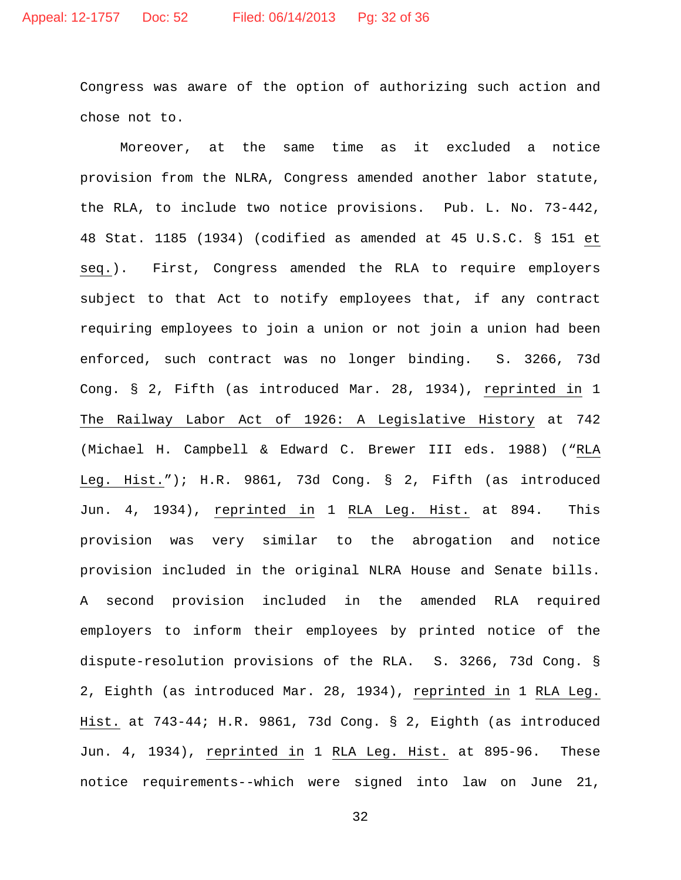Congress was aware of the option of authorizing such action and chose not to.

Moreover, at the same time as it excluded a notice provision from the NLRA, Congress amended another labor statute, the RLA, to include two notice provisions. Pub. L. No. 73-442, 48 Stat. 1185 (1934) (codified as amended at 45 U.S.C. § 151 et seq.). First, Congress amended the RLA to require employers subject to that Act to notify employees that, if any contract requiring employees to join a union or not join a union had been enforced, such contract was no longer binding. S. 3266, 73d Cong. § 2, Fifth (as introduced Mar. 28, 1934), reprinted in 1 The Railway Labor Act of 1926: A Legislative History at 742 (Michael H. Campbell & Edward C. Brewer III eds. 1988) ("RLA Leg. Hist."); H.R. 9861, 73d Cong. § 2, Fifth (as introduced Jun. 4, 1934), reprinted in 1 RLA Leg. Hist. at 894. This provision was very similar to the abrogation and notice provision included in the original NLRA House and Senate bills. A second provision included in the amended RLA required employers to inform their employees by printed notice of the dispute-resolution provisions of the RLA. S. 3266, 73d Cong. § 2, Eighth (as introduced Mar. 28, 1934), reprinted in 1 RLA Leg. Hist. at 743-44; H.R. 9861, 73d Cong. § 2, Eighth (as introduced Jun. 4, 1934), reprinted in 1 RLA Leg. Hist. at 895-96. These notice requirements--which were signed into law on June 21,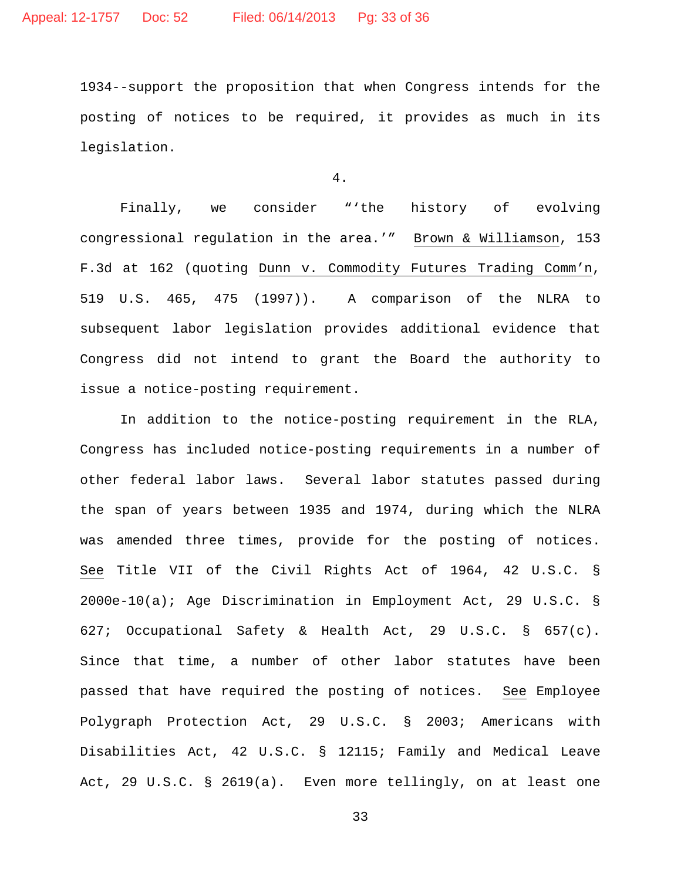1934--support the proposition that when Congress intends for the posting of notices to be required, it provides as much in its legislation.

# 4.

Finally, we consider "'the history of evolving congressional regulation in the area.'" Brown & Williamson, 153 F.3d at 162 (quoting Dunn v. Commodity Futures Trading Comm'n, 519 U.S. 465, 475 (1997)). A comparison of the NLRA to subsequent labor legislation provides additional evidence that Congress did not intend to grant the Board the authority to issue a notice-posting requirement.

In addition to the notice-posting requirement in the RLA, Congress has included notice-posting requirements in a number of other federal labor laws. Several labor statutes passed during the span of years between 1935 and 1974, during which the NLRA was amended three times, provide for the posting of notices. See Title VII of the Civil Rights Act of 1964, 42 U.S.C. § 2000e-10(a); Age Discrimination in Employment Act, 29 U.S.C. § 627; Occupational Safety & Health Act, 29 U.S.C. § 657(c). Since that time, a number of other labor statutes have been passed that have required the posting of notices. See Employee Polygraph Protection Act, 29 U.S.C. § 2003; Americans with Disabilities Act, 42 U.S.C. § 12115; Family and Medical Leave Act, 29 U.S.C. § 2619(a). Even more tellingly, on at least one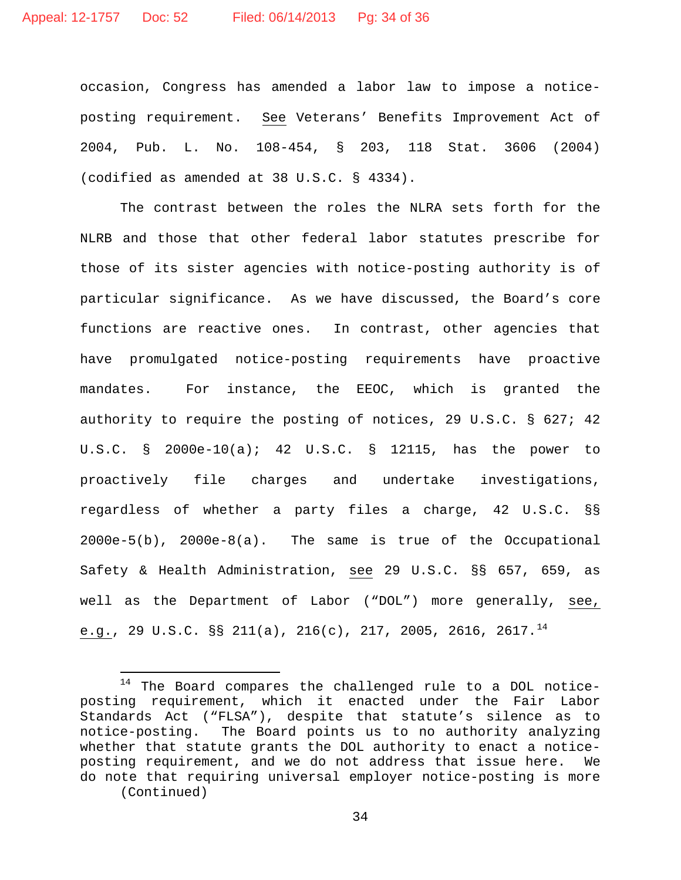occasion, Congress has amended a labor law to impose a noticeposting requirement. See Veterans' Benefits Improvement Act of 2004, Pub. L. No. 108-454, § 203, 118 Stat. 3606 (2004) (codified as amended at 38 U.S.C. § 4334).

The contrast between the roles the NLRA sets forth for the NLRB and those that other federal labor statutes prescribe for those of its sister agencies with notice-posting authority is of particular significance. As we have discussed, the Board's core functions are reactive ones. In contrast, other agencies that have promulgated notice-posting requirements have proactive mandates. For instance, the EEOC, which is granted the authority to require the posting of notices, 29 U.S.C. § 627; 42 U.S.C. § 2000e-10(a); 42 U.S.C. § 12115, has the power to proactively file charges and undertake investigations, regardless of whether a party files a charge, 42 U.S.C. §§ 2000e-5(b), 2000e-8(a). The same is true of the Occupational Safety & Health Administration, see 29 U.S.C. §§ 657, 659, as well as the Department of Labor ("DOL") more generally, see, e.g., 29 U.S.C. §§ 211(a), 216(c), 217, 2005, 2616, 2617.<sup>[14](#page-33-0)</sup>

<span id="page-33-0"></span> $\overline{\phantom{a}}$ <sup>14</sup> The Board compares the challenged rule to a DOL noticeposting requirement, which it enacted under the Fair Labor Standards Act ("FLSA"), despite that statute's silence as to notice-posting. The Board points us to no authority analyzing whether that statute grants the DOL authority to enact a noticeposting requirement, and we do not address that issue here. We do note that requiring universal employer notice-posting is more (Continued)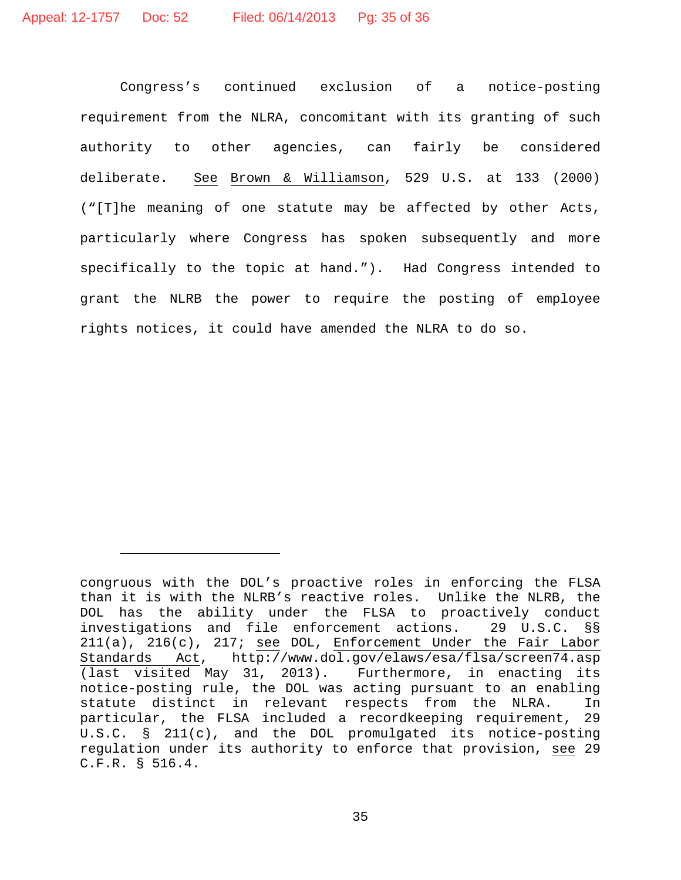Ĩ.

Congress's continued exclusion of a notice-posting requirement from the NLRA, concomitant with its granting of such authority to other agencies, can fairly be considered deliberate. See Brown & Williamson, 529 U.S. at 133 (2000) ("[T]he meaning of one statute may be affected by other Acts, particularly where Congress has spoken subsequently and more specifically to the topic at hand."). Had Congress intended to grant the NLRB the power to require the posting of employee rights notices, it could have amended the NLRA to do so.

congruous with the DOL's proactive roles in enforcing the FLSA than it is with the NLRB's reactive roles. Unlike the NLRB, the DOL has the ability under the FLSA to proactively conduct<br>investigations and file enforcement actions. 29 U.S.C. §§ investigations and file enforcement actions. 29 U.S.C. §§ 211(a), 216(c), 217; see DOL, Enforcement Under the Fair Labor Standards Act, http://www.dol.gov/elaws/esa/flsa/screen74.asp (last visited May 31, 2013). Furthermore, in enacting its notice-posting rule, the DOL was acting pursuant to an enabling statute distinct in relevant respects from the NLRA. In particular, the FLSA included a recordkeeping requirement, 29 U.S.C. § 211(c), and the DOL promulgated its notice-posting regulation under its authority to enforce that provision, see 29 C.F.R. § 516.4.